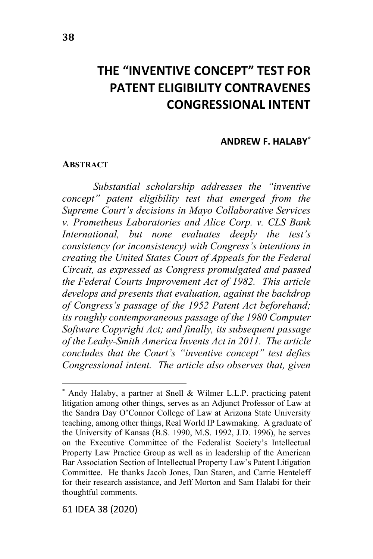# **THE "INVENTIVE CONCEPT" TEST FOR PATENT ELIGIBILITY CONTRAVENES CONGRESSIONAL INTENT**

#### **ANDREW F. HALABY\***

#### **ABSTRACT**

*Substantial scholarship addresses the "inventive concept" patent eligibility test that emerged from the Supreme Court's decisions in Mayo Collaborative Services v. Prometheus Laboratories and Alice Corp. v. CLS Bank International, but none evaluates deeply the test's consistency (or inconsistency) with Congress's intentions in creating the United States Court of Appeals for the Federal Circuit, as expressed as Congress promulgated and passed the Federal Courts Improvement Act of 1982. This article develops and presents that evaluation, against the backdrop of Congress's passage of the 1952 Patent Act beforehand; its roughly contemporaneous passage of the 1980 Computer Software Copyright Act; and finally, its subsequent passage of the Leahy-Smith America Invents Act in 2011. The article concludes that the Court's "inventive concept" test defies Congressional intent. The article also observes that, given*

61 IDEA 38 (2020)

<sup>\*</sup> Andy Halaby, a partner at Snell & Wilmer L.L.P. practicing patent litigation among other things, serves as an Adjunct Professor of Law at the Sandra Day O'Connor College of Law at Arizona State University teaching, among other things, Real World IP Lawmaking. A graduate of the University of Kansas (B.S. 1990, M.S. 1992, J.D. 1996), he serves on the Executive Committee of the Federalist Society's Intellectual Property Law Practice Group as well as in leadership of the American Bar Association Section of Intellectual Property Law's Patent Litigation Committee. He thanks Jacob Jones, Dan Staren, and Carrie Henteleff for their research assistance, and Jeff Morton and Sam Halabi for their thoughtful comments.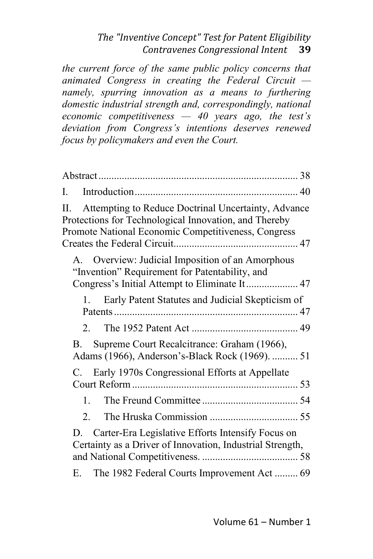*the current force of the same public policy concerns that animated Congress in creating the Federal Circuit namely, spurring innovation as a means to furthering domestic industrial strength and, correspondingly, national economic competitiveness — 40 years ago, the test's deviation from Congress's intentions deserves renewed focus by policymakers and even the Court.*

| I.                                                                                                                                                                        |
|---------------------------------------------------------------------------------------------------------------------------------------------------------------------------|
| Attempting to Reduce Doctrinal Uncertainty, Advance<br>П.<br>Protections for Technological Innovation, and Thereby<br>Promote National Economic Competitiveness, Congress |
| Overview: Judicial Imposition of an Amorphous<br>$A_{1}$<br>"Invention" Requirement for Patentability, and<br>Congress's Initial Attempt to Eliminate It 47               |
| Early Patent Statutes and Judicial Skepticism of<br>1.                                                                                                                    |
| 2.                                                                                                                                                                        |
| Supreme Court Recalcitrance: Graham (1966),<br>В.<br>Adams (1966), Anderson's-Black Rock (1969).  51                                                                      |
| Early 1970s Congressional Efforts at Appellate<br>C.                                                                                                                      |
| 1.                                                                                                                                                                        |
| 2.                                                                                                                                                                        |
| D. Carter-Era Legislative Efforts Intensify Focus on<br>Certainty as a Driver of Innovation, Industrial Strength,                                                         |
| The 1982 Federal Courts Improvement Act 69<br>Е.                                                                                                                          |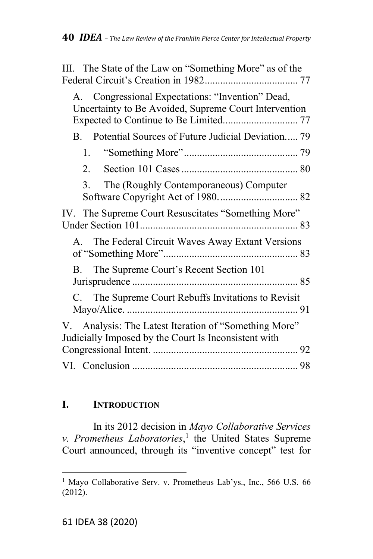| III. The State of the Law on "Something More" as of the                                                       |
|---------------------------------------------------------------------------------------------------------------|
| A. Congressional Expectations: "Invention" Dead,<br>Uncertainty to Be Avoided, Supreme Court Intervention     |
| B. Potential Sources of Future Judicial Deviation 79                                                          |
|                                                                                                               |
| 2.                                                                                                            |
| The (Roughly Contemporaneous) Computer<br>3.                                                                  |
| IV. The Supreme Court Resuscitates "Something More"                                                           |
| A. The Federal Circuit Waves Away Extant Versions                                                             |
| The Supreme Court's Recent Section 101<br>B.                                                                  |
| C. The Supreme Court Rebuffs Invitations to Revisit                                                           |
| V. Analysis: The Latest Iteration of "Something More"<br>Judicially Imposed by the Court Is Inconsistent with |
|                                                                                                               |

# **I. INTRODUCTION**

In its 2012 decision in *Mayo Collaborative Services v. Prometheus Laboratories*, 1 the United States Supreme Court announced, through its "inventive concept" test for

<sup>&</sup>lt;sup>1</sup> Mayo Collaborative Serv. v. Prometheus Lab'ys., Inc., 566 U.S. 66 (2012).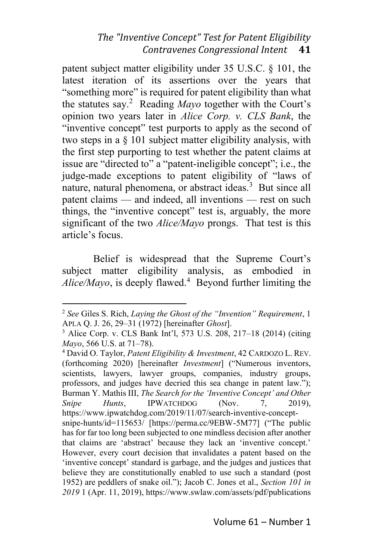patent subject matter eligibility under 35 U.S.C. § 101, the latest iteration of its assertions over the years that "something more" is required for patent eligibility than what the statutes say.<sup>2</sup> Reading *Mayo* together with the Court's opinion two years later in *Alice Corp. v. CLS Bank*, the "inventive concept" test purports to apply as the second of two steps in a § 101 subject matter eligibility analysis, with the first step purporting to test whether the patent claims at issue are "directed to" a "patent-ineligible concept"; i.e., the judge-made exceptions to patent eligibility of "laws of nature, natural phenomena, or abstract ideas.<sup>3</sup> But since all patent claims — and indeed, all inventions — rest on such things, the "inventive concept" test is, arguably, the more significant of the two *Alice/Mayo* prongs. That test is this article's focus.

Belief is widespread that the Supreme Court's subject matter eligibility analysis, as embodied in *Alice/Mayo*, is deeply flawed.<sup>4</sup> Beyond further limiting the

<sup>4</sup> David O. Taylor, *Patent Eligibility & Investment*, 42 CARDOZO L. REV. (forthcoming 2020) [hereinafter *Investment*] ("Numerous inventors, scientists, lawyers, lawyer groups, companies, industry groups, professors, and judges have decried this sea change in patent law."); Burman Y. Mathis III, *The Search for the 'Inventive Concept' and Other Snipe Hunts*, IPWATCHDOG (Nov. 7, 2019), https://www.ipwatchdog.com/2019/11/07/search-inventive-conceptsnipe-hunts/id=115653/ [https://perma.cc/9EBW-5M77] ("The public has for far too long been subjected to one mindless decision after another that claims are 'abstract' because they lack an 'inventive concept.' However, every court decision that invalidates a patent based on the 'inventive concept' standard is garbage, and the judges and justices that believe they are constitutionally enabled to use such a standard (post 1952) are peddlers of snake oil."); Jacob C. Jones et al., *Section 101 in 2019* 1 (Apr. 11, 2019), https://www.swlaw.com/assets/pdf/publications

<sup>2</sup> *See* Giles S. Rich, *Laying the Ghost of the "Invention" Requirement*, 1 APLA Q. J. 26, 29–31 (1972) [hereinafter *Ghost*].

<sup>3</sup> Alice Corp. v. CLS Bank Int'l, 573 U.S. 208, 217–18 (2014) (citing *Mayo*, 566 U.S. at 71–78).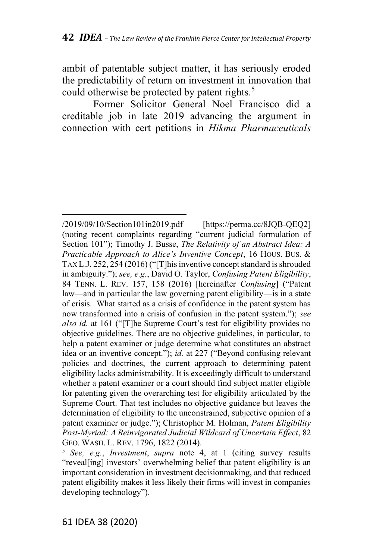ambit of patentable subject matter, it has seriously eroded the predictability of return on investment in innovation that could otherwise be protected by patent rights.<sup>5</sup>

Former Solicitor General Noel Francisco did a creditable job in late 2019 advancing the argument in connection with cert petitions in *Hikma Pharmaceuticals*

<sup>/2019/09/10/</sup>Section101in2019.pdf [https://perma.cc/8JQB-QEQ2] (noting recent complaints regarding "current judicial formulation of Section 101"); Timothy J. Busse, *The Relativity of an Abstract Idea: A Practicable Approach to Alice's Inventive Concept*, 16 HOUS. BUS. & TAX L.J. 252, 254 (2016) ("[T]his inventive concept standard is shrouded in ambiguity."); *see, e.g.*, David O. Taylor, *Confusing Patent Eligibility*, 84 TENN. L. REV. 157, 158 (2016) [hereinafter *Confusing*] ("Patent law—and in particular the law governing patent eligibility—is in a state of crisis. What started as a crisis of confidence in the patent system has now transformed into a crisis of confusion in the patent system."); *see also id.* at 161 ("[T]he Supreme Court's test for eligibility provides no objective guidelines. There are no objective guidelines, in particular, to help a patent examiner or judge determine what constitutes an abstract idea or an inventive concept."); *id.* at 227 ("Beyond confusing relevant policies and doctrines, the current approach to determining patent eligibility lacks administrability. It is exceedingly difficult to understand whether a patent examiner or a court should find subject matter eligible for patenting given the overarching test for eligibility articulated by the Supreme Court. That test includes no objective guidance but leaves the determination of eligibility to the unconstrained, subjective opinion of a patent examiner or judge."); Christopher M. Holman, *Patent Eligibility Post-Myriad: A Reinvigorated Judicial Wildcard of Uncertain Effect*, 82 GEO. WASH. L. REV. 1796, 1822 (2014).

<sup>5</sup> *See, e.g.*, *Investment*, *supra* note 4, at 1 (citing survey results "reveal[ing] investors' overwhelming belief that patent eligibility is an important consideration in investment decisionmaking, and that reduced patent eligibility makes it less likely their firms will invest in companies developing technology").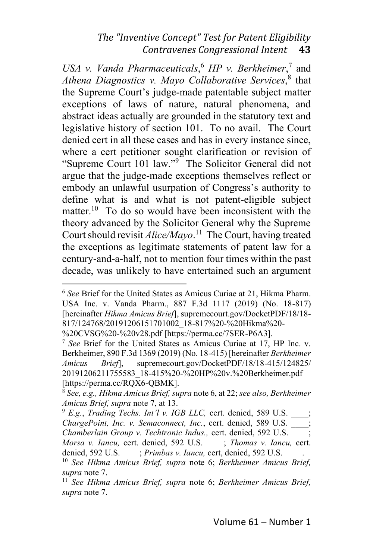*USA v. Vanda Pharmaceuticals*, <sup>6</sup> *HP v. Berkheimer*, 7 and *Athena Diagnostics v. Mayo Collaborative Services*, 8 that the Supreme Court's judge-made patentable subject matter exceptions of laws of nature, natural phenomena, and abstract ideas actually are grounded in the statutory text and legislative history of section 101. To no avail. The Court denied cert in all these cases and has in every instance since, where a cert petitioner sought clarification or revision of "Supreme Court 101 law."<sup>9</sup> The Solicitor General did not argue that the judge-made exceptions themselves reflect or embody an unlawful usurpation of Congress's authority to define what is and what is not patent-eligible subject matter.<sup>10</sup> To do so would have been inconsistent with the theory advanced by the Solicitor General why the Supreme Court should revisit *Alice/Mayo*.<sup>11</sup> The Court, having treated the exceptions as legitimate statements of patent law for a century-and-a-half, not to mention four times within the past decade, was unlikely to have entertained such an argument

<sup>6</sup> *See* Brief for the United States as Amicus Curiae at 21, Hikma Pharm. USA Inc. v. Vanda Pharm., 887 F.3d 1117 (2019) (No. 18-817) [hereinafter *Hikma Amicus Brief*], supremecourt.gov/DocketPDF/18/18- 817/124768/20191206151701002\_18-817%20-%20Hikma%20-

<sup>%20</sup>CVSG%20-%20v28.pdf [https://perma.cc/7SER-P6A3].

<sup>7</sup> *See* Brief for the United States as Amicus Curiae at 17, HP Inc. v. Berkheimer, 890 F.3d 1369 (2019) (No. 18-415) [hereinafter *Berkheimer Amicus Brief*], supremecourt.gov/DocketPDF/18/18-415/124825/ 20191206211755583\_18-415%20-%20HP%20v.%20Berkheimer.pdf [https://perma.cc/RQX6-QBMK].

<sup>8</sup> *See, e.g., Hikma Amicus Brief, supra* note 6, at 22; *see also, Berkheimer Amicus Brief, supra* note 7, at 13.

<sup>9</sup> *E.g.*, *Trading Techs. Int'l v. IGB LLC,* cert. denied, 589 U.S. \_\_\_\_; *ChargePoint, Inc. v. Semaconnect, Inc.*, cert. denied, 589 U.S. \_\_\_\_; *Chamberlain Group v. Techtronic Indus.,* cert. denied, 592 U.S. \_\_\_\_; *Morsa v. Iancu,* cert. denied, 592 U.S. \_\_\_\_; *Thomas v. Iancu,* cert. denied, 592 U.S. \_\_\_\_; *Primbas v. Iancu,* cert, denied, 592 U.S. \_\_\_\_.

<sup>10</sup> *See Hikma Amicus Brief, supra* note 6; *Berkheimer Amicus Brief, supra* note 7.

<sup>11</sup> *See Hikma Amicus Brief, supra* note 6; *Berkheimer Amicus Brief, supra* note 7.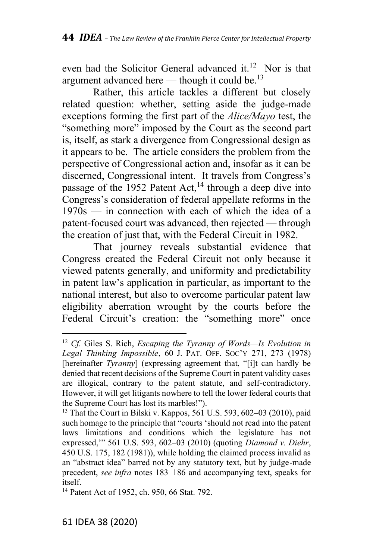even had the Solicitor General advanced it.<sup>12</sup> Nor is that argument advanced here — though it could be.<sup>13</sup>

Rather, this article tackles a different but closely related question: whether, setting aside the judge-made exceptions forming the first part of the *Alice/Mayo* test, the "something more" imposed by the Court as the second part is, itself, as stark a divergence from Congressional design as it appears to be. The article considers the problem from the perspective of Congressional action and, insofar as it can be discerned, Congressional intent. It travels from Congress's passage of the 1952 Patent Act,<sup>14</sup> through a deep dive into Congress's consideration of federal appellate reforms in the 1970s — in connection with each of which the idea of a patent-focused court was advanced, then rejected — through the creation of just that, with the Federal Circuit in 1982.

That journey reveals substantial evidence that Congress created the Federal Circuit not only because it viewed patents generally, and uniformity and predictability in patent law's application in particular, as important to the national interest, but also to overcome particular patent law eligibility aberration wrought by the courts before the Federal Circuit's creation: the "something more" once

<sup>12</sup> *Cf.* Giles S. Rich, *Escaping the Tyranny of Words—Is Evolution in Legal Thinking Impossible*, 60 J. PAT. OFF. SOC'Y 271, 273 (1978) [hereinafter *Tyranny*] (expressing agreement that, "[i]t can hardly be denied that recent decisions of the Supreme Court in patent validity cases are illogical, contrary to the patent statute, and self-contradictory. However, it will get litigants nowhere to tell the lower federal courts that the Supreme Court has lost its marbles!").

<sup>13</sup> That the Court in Bilski v. Kappos, 561 U.S. 593, 602–03 (2010), paid such homage to the principle that "courts 'should not read into the patent laws limitations and conditions which the legislature has not expressed,'" 561 U.S. 593, 602–03 (2010) (quoting *Diamond v. Diehr*, 450 U.S. 175, 182 (1981)), while holding the claimed process invalid as an "abstract idea" barred not by any statutory text, but by judge-made precedent, *see infra* notes 183–186 and accompanying text, speaks for itself.

<sup>&</sup>lt;sup>14</sup> Patent Act of 1952, ch. 950, 66 Stat. 792.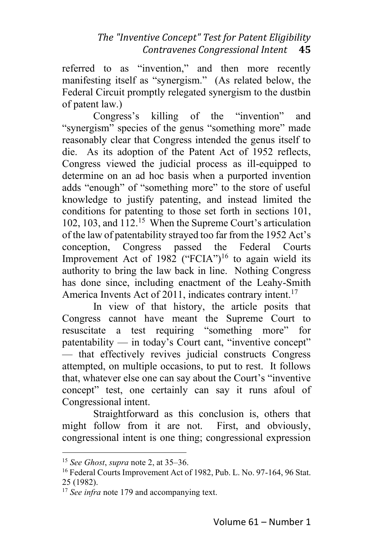referred to as "invention," and then more recently manifesting itself as "synergism." (As related below, the Federal Circuit promptly relegated synergism to the dustbin of patent law.)

Congress's killing of the "invention" and "synergism" species of the genus "something more" made reasonably clear that Congress intended the genus itself to die. As its adoption of the Patent Act of 1952 reflects, Congress viewed the judicial process as ill-equipped to determine on an ad hoc basis when a purported invention adds "enough" of "something more" to the store of useful knowledge to justify patenting, and instead limited the conditions for patenting to those set forth in sections 101, 102, 103, and 112. <sup>15</sup> When the Supreme Court's articulation of the law of patentability strayed too far from the 1952 Act's conception, Congress passed the Federal Courts Improvement Act of 1982 ("FCIA")<sup>16</sup> to again wield its authority to bring the law back in line. Nothing Congress has done since, including enactment of the Leahy-Smith America Invents Act of 2011, indicates contrary intent.<sup>17</sup>

In view of that history, the article posits that Congress cannot have meant the Supreme Court to resuscitate a test requiring "something more" for patentability — in today's Court cant, "inventive concept" — that effectively revives judicial constructs Congress attempted, on multiple occasions, to put to rest. It follows that, whatever else one can say about the Court's "inventive concept" test, one certainly can say it runs afoul of Congressional intent.

Straightforward as this conclusion is, others that might follow from it are not. First, and obviously, congressional intent is one thing; congressional expression

<sup>15</sup> *See Ghost*, *supra* note 2, at 35–36.

<sup>&</sup>lt;sup>16</sup> Federal Courts Improvement Act of 1982, Pub. L. No. 97-164, 96 Stat. 25 (1982).

<sup>&</sup>lt;sup>17</sup> *See infra* note 179 and accompanying text.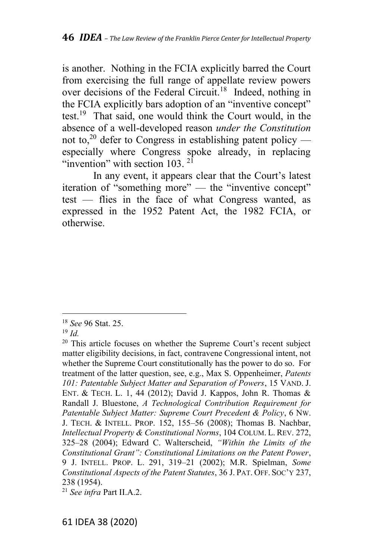is another. Nothing in the FCIA explicitly barred the Court from exercising the full range of appellate review powers over decisions of the Federal Circuit.<sup>18</sup> Indeed, nothing in the FCIA explicitly bars adoption of an "inventive concept" test.<sup>19</sup> That said, one would think the Court would, in the absence of a well-developed reason *under the Constitution* not to,<sup>20</sup> defer to Congress in establishing patent policy especially where Congress spoke already, in replacing "invention" with section 103.  $2^{1}$ 

In any event, it appears clear that the Court's latest iteration of "something more" — the "inventive concept" test — flies in the face of what Congress wanted, as expressed in the 1952 Patent Act, the 1982 FCIA, or otherwise.

<sup>18</sup> *See* 96 Stat. 25.

<sup>19</sup> *Id.*

 $20$  This article focuses on whether the Supreme Court's recent subject matter eligibility decisions, in fact, contravene Congressional intent, not whether the Supreme Court constitutionally has the power to do so. For treatment of the latter question, see, e.g., Max S. Oppenheimer, *Patents 101: Patentable Subject Matter and Separation of Powers*, 15 VAND. J. ENT. & TECH. L. 1, 44 (2012); David J. Kappos, John R. Thomas & Randall J. Bluestone, *A Technological Contribution Requirement for Patentable Subject Matter: Supreme Court Precedent & Policy*, 6 NW. J. TECH. & INTELL. PROP. 152, 155–56 (2008); Thomas B. Nachbar, *Intellectual Property & Constitutional Norms*, 104 COLUM. L. REV. 272, 325–28 (2004); Edward C. Walterscheid, *"Within the Limits of the Constitutional Grant": Constitutional Limitations on the Patent Power*, 9 J. INTELL. PROP. L. 291, 319–21 (2002); M.R. Spielman, *Some Constitutional Aspects of the Patent Statutes*, 36 J. PAT. OFF. SOC'Y 237, 238 (1954).

<sup>21</sup> *See infra* Part II.A.2.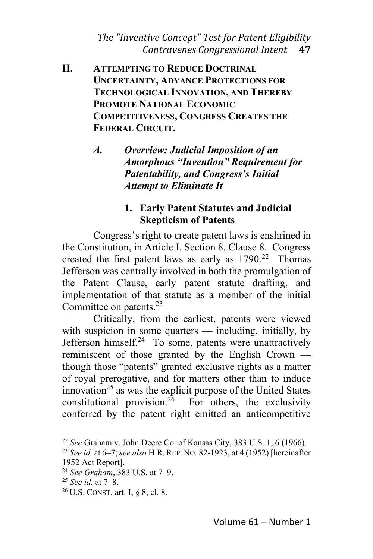- **II. ATTEMPTING TO REDUCE DOCTRINAL UNCERTAINTY, ADVANCE PROTECTIONS FOR TECHNOLOGICAL INNOVATION, AND THEREBY PROMOTE NATIONAL ECONOMIC COMPETITIVENESS, CONGRESS CREATES THE FEDERAL CIRCUIT.**
	- *A. Overview: Judicial Imposition of an Amorphous "Invention" Requirement for Patentability, and Congress's Initial Attempt to Eliminate It*

### **1. Early Patent Statutes and Judicial Skepticism of Patents**

Congress's right to create patent laws is enshrined in the Constitution, in Article I, Section 8, Clause 8. Congress created the first patent laws as early as  $1790.<sup>22</sup>$  Thomas Jefferson was centrally involved in both the promulgation of the Patent Clause, early patent statute drafting, and implementation of that statute as a member of the initial Committee on patents.<sup>23</sup>

Critically, from the earliest, patents were viewed with suspicion in some quarters — including, initially, by Jefferson himself.<sup>24</sup> To some, patents were unattractively reminiscent of those granted by the English Crown though those "patents" granted exclusive rights as a matter of royal prerogative, and for matters other than to induce innovation<sup>25</sup> as was the explicit purpose of the United States constitutional provision.<sup>26</sup> For others, the exclusivity conferred by the patent right emitted an anticompetitive

<sup>22</sup> *See* Graham v. John Deere Co. of Kansas City, 383 U.S. 1, 6 (1966).

<sup>23</sup> *See id.* at 6–7; *see also* H.R. REP. NO. 82-1923, at 4 (1952) [hereinafter 1952 Act Report].

<sup>24</sup> *See Graham*, 383 U.S. at 7–9.

<sup>25</sup> *See id.* at 7–8.

<sup>26</sup> U.S. CONST. art. I, § 8, cl. 8.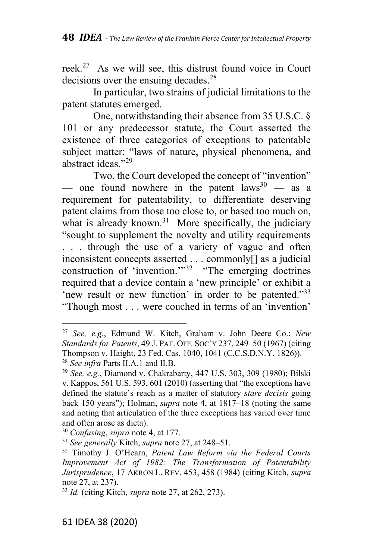reek.<sup>27</sup> As we will see, this distrust found voice in Court decisions over the ensuing decades.<sup>28</sup>

In particular, two strains of judicial limitations to the patent statutes emerged.

One, notwithstanding their absence from 35 U.S.C. § 101 or any predecessor statute, the Court asserted the existence of three categories of exceptions to patentable subject matter: "laws of nature, physical phenomena, and abstract ideas."<sup>29</sup>

Two, the Court developed the concept of "invention" — one found nowhere in the patent  $laws^{30}$  — as a requirement for patentability, to differentiate deserving patent claims from those too close to, or based too much on, what is already known.<sup>31</sup> More specifically, the judiciary "sought to supplement the novelty and utility requirements . . . through the use of a variety of vague and often inconsistent concepts asserted . . . commonly[] as a judicial construction of 'invention.'"<sup>32</sup> "The emerging doctrines required that a device contain a 'new principle' or exhibit a 'new result or new function' in order to be patented."33 "Though most . . . were couched in terms of an 'invention'

<sup>27</sup> *See, e.g.*, Edmund W. Kitch, Graham v. John Deere Co.: *New Standards for Patents*, 49 J. PAT. OFF. SOC'Y 237, 249–50 (1967) (citing Thompson v. Haight, 23 Fed. Cas. 1040, 1041 (C.C.S.D.N.Y. 1826)). <sup>28</sup> *See infra* Parts II.A.1 and II.B.

<sup>29</sup> *See, e.g.*, Diamond v. Chakrabarty, 447 U.S. 303, 309 (1980); Bilski v. Kappos, 561 U.S. 593, 601 (2010) (asserting that "the exceptions have defined the statute's reach as a matter of statutory *stare decisis* going back 150 years"); Holman, *supra* note 4, at 1817–18 (noting the same and noting that articulation of the three exceptions has varied over time and often arose as dicta).

<sup>30</sup> *Confusing*, *supra* note 4, at 177.

<sup>31</sup> *See generally* Kitch, *supra* note 27, at 248–51.

<sup>32</sup> Timothy J. O'Hearn, *Patent Law Reform via the Federal Courts Improvement Act of 1982: The Transformation of Patentability Jurisprudence*, 17 AKRON L. REV. 453, 458 (1984) (citing Kitch, *supra* note 27, at 237).

<sup>33</sup> *Id.* (citing Kitch, *supra* note 27, at 262, 273).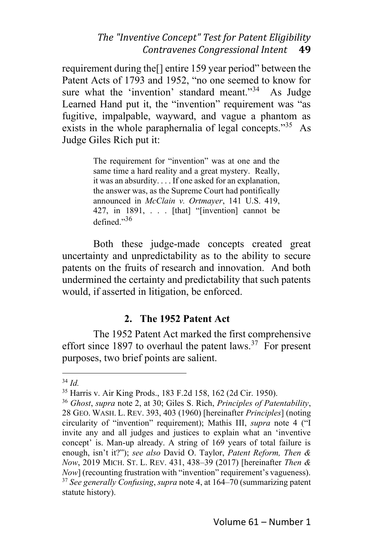requirement during the[] entire 159 year period" between the Patent Acts of 1793 and 1952, "no one seemed to know for sure what the 'invention' standard meant."<sup>34</sup> As Judge sure what the 'invention' standard meant."<sup>34</sup> Learned Hand put it, the "invention" requirement was "as fugitive, impalpable, wayward, and vague a phantom as exists in the whole paraphernalia of legal concepts."<sup>35</sup> As Judge Giles Rich put it:

> The requirement for "invention" was at one and the same time a hard reality and a great mystery. Really, it was an absurdity. . . . If one asked for an explanation, the answer was, as the Supreme Court had pontifically announced in *McClain v. Ortmayer*, 141 U.S. 419, 427, in 1891, . . . [that] "[invention] cannot be defined."<sup>36</sup>

Both these judge-made concepts created great uncertainty and unpredictability as to the ability to secure patents on the fruits of research and innovation. And both undermined the certainty and predictability that such patents would, if asserted in litigation, be enforced.

### **2. The 1952 Patent Act**

The 1952 Patent Act marked the first comprehensive effort since 1897 to overhaul the patent laws.<sup>37</sup> For present purposes, two brief points are salient.

<sup>34</sup> *Id.*

<sup>35</sup> Harris v. Air King Prods., 183 F.2d 158, 162 (2d Cir. 1950).

<sup>36</sup> *Ghost*, *supra* note 2, at 30; Giles S. Rich, *Principles of Patentability*, 28 GEO. WASH. L. REV. 393, 403 (1960) [hereinafter *Principles*] (noting circularity of "invention" requirement); Mathis III, *supra* note 4 ("I invite any and all judges and justices to explain what an 'inventive concept' is. Man-up already. A string of 169 years of total failure is enough, isn't it?"); *see also* David O. Taylor, *Patent Reform, Then & Now*, 2019 MICH. ST. L. REV. 431, 438–39 (2017) [hereinafter *Then & Now*] (recounting frustration with "invention" requirement's vagueness). <sup>37</sup> *See generally Confusing*, *supra* note 4, at 164–70 (summarizing patent statute history).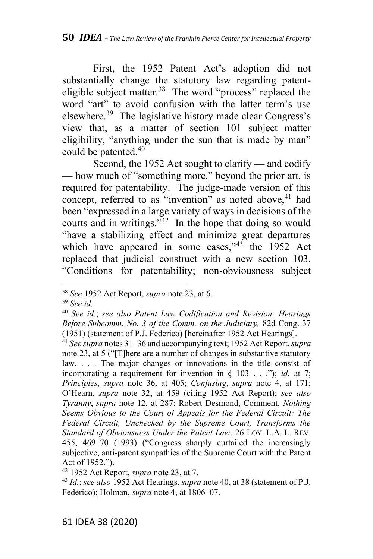First, the 1952 Patent Act's adoption did not substantially change the statutory law regarding patenteligible subject matter. $38$  The word "process" replaced the word "art" to avoid confusion with the latter term's use elsewhere.<sup>39</sup> The legislative history made clear Congress's view that, as a matter of section 101 subject matter eligibility, "anything under the sun that is made by man" could be patented.<sup>40</sup>

Second, the 1952 Act sought to clarify — and codify — how much of "something more," beyond the prior art, is required for patentability. The judge-made version of this concept, referred to as "invention" as noted above, <sup>41</sup> had been "expressed in a large variety of ways in decisions of the courts and in writings." $42$  In the hope that doing so would "have a stabilizing effect and minimize great departures which have appeared in some cases," $43$  the 1952 Act replaced that judicial construct with a new section 103, "Conditions for patentability; non-obviousness subject

<sup>38</sup> *See* 1952 Act Report, *supra* note 23, at 6.

<sup>39</sup> *See id.*

<sup>40</sup> *See id.*; *see also Patent Law Codification and Revision: Hearings Before Subcomm. No. 3 of the Comm. on the Judiciary,* 82d Cong. 37 (1951) (statement of P.J. Federico) [hereinafter 1952 Act Hearings].

<sup>41</sup> *See supra* notes 31–36 and accompanying text; 1952 Act Report, *supra* note 23, at 5 ("[T]here are a number of changes in substantive statutory law. . . . The major changes or innovations in the title consist of incorporating a requirement for invention in § 103 . . ."); *id.* at 7; *Principles*, *supra* note 36, at 405; *Confusing*, *supra* note 4, at 171; O'Hearn, *supra* note 32, at 459 (citing 1952 Act Report); *see also Tyranny*, *supra* note 12, at 287; Robert Desmond, Comment, *Nothing Seems Obvious to the Court of Appeals for the Federal Circuit: The Federal Circuit, Unchecked by the Supreme Court, Transforms the Standard of Obviousness Under the Patent Law*, 26 LOY. L.A. L. REV. 455, 469–70 (1993) ("Congress sharply curtailed the increasingly subjective, anti-patent sympathies of the Supreme Court with the Patent Act of 1952.").

<sup>42</sup> 1952 Act Report, *supra* note 23, at 7.

<sup>43</sup> *Id.*; *see also* 1952 Act Hearings, *supra* note 40, at 38 (statement of P.J. Federico); Holman, *supra* note 4, at 1806–07.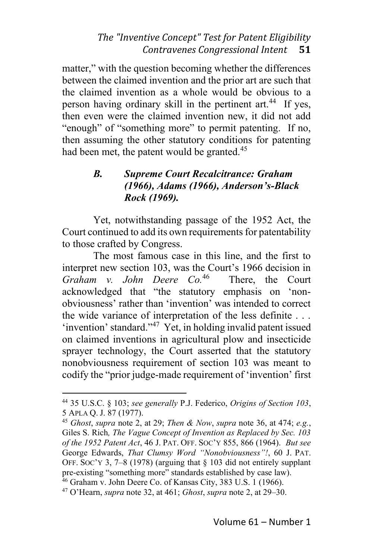matter," with the question becoming whether the differences between the claimed invention and the prior art are such that the claimed invention as a whole would be obvious to a person having ordinary skill in the pertinent art.<sup>44</sup> If yes, then even were the claimed invention new, it did not add "enough" of "something more" to permit patenting. If no, then assuming the other statutory conditions for patenting had been met, the patent would be granted.<sup>45</sup>

# *B. Supreme Court Recalcitrance: Graham (1966), Adams (1966), Anderson's-Black Rock (1969).*

Yet, notwithstanding passage of the 1952 Act, the Court continued to add its own requirements for patentability to those crafted by Congress.

The most famous case in this line, and the first to interpret new section 103, was the Court's 1966 decision in *Graham v. John Deere Co.* There, the Court acknowledged that "the statutory emphasis on 'nonobviousness' rather than 'invention' was intended to correct the wide variance of interpretation of the less definite . . . 'invention' standard."<sup>47</sup> Yet, in holding invalid patent issued on claimed inventions in agricultural plow and insecticide sprayer technology, the Court asserted that the statutory nonobviousness requirement of section 103 was meant to codify the "prior judge-made requirement of 'invention' first

<sup>44</sup> 35 U.S.C. § 103; *see generally* P.J. Federico, *Origins of Section 103*, 5 APLA Q. J. 87 (1977).

<sup>45</sup> *Ghost*, *supra* note 2, at 29; *Then & Now*, *supra* note 36, at 474; *e.g.*, Giles S. Rich*, The Vague Concept of Invention as Replaced by Sec. 103 of the 1952 Patent Act*, 46 J. PAT. OFF. SOC'Y 855, 866 (1964). *But see* George Edwards, *That Clumsy Word "Nonobviousness"!*, 60 J. PAT. OFF. SOC'Y 3, 7–8 (1978) (arguing that  $\S$  103 did not entirely supplant pre-existing "something more" standards established by case law).

<sup>46</sup> Graham v. John Deere Co. of Kansas City, 383 U.S. 1 (1966).

<sup>47</sup> O'Hearn, *supra* note 32, at 461; *Ghost*, *supra* note 2, at 29–30.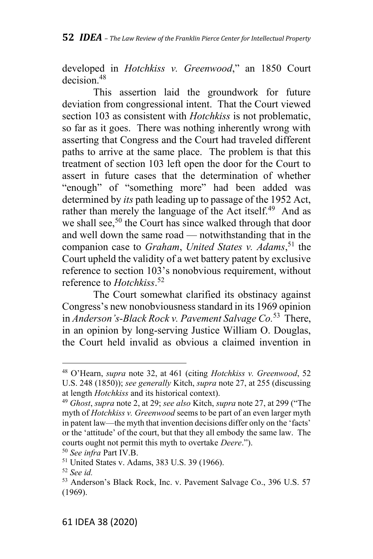developed in *Hotchkiss v. Greenwood*," an 1850 Court decision.<sup>48</sup>

This assertion laid the groundwork for future deviation from congressional intent. That the Court viewed section 103 as consistent with *Hotchkiss* is not problematic, so far as it goes. There was nothing inherently wrong with asserting that Congress and the Court had traveled different paths to arrive at the same place. The problem is that this treatment of section 103 left open the door for the Court to assert in future cases that the determination of whether "enough" of "something more" had been added was determined by *its* path leading up to passage of the 1952 Act, rather than merely the language of the Act itself.<sup>49</sup> And as we shall see,<sup>50</sup> the Court has since walked through that door and well down the same road — notwithstanding that in the companion case to *Graham*, *United States v. Adams*, <sup>51</sup> the Court upheld the validity of a wet battery patent by exclusive reference to section 103's nonobvious requirement, without reference to *Hotchkiss*. 52

The Court somewhat clarified its obstinacy against Congress's new nonobviousness standard in its 1969 opinion in *Anderson's-Black Rock v. Pavement Salvage Co.* <sup>53</sup> There, in an opinion by long-serving Justice William O. Douglas, the Court held invalid as obvious a claimed invention in

<sup>48</sup> O'Hearn, *supra* note 32, at 461 (citing *Hotchkiss v. Greenwood*, 52 U.S. 248 (1850)); *see generally* Kitch, *supra* note 27, at 255 (discussing at length *Hotchkiss* and its historical context).

<sup>49</sup> *Ghost*, *supra* note 2, at 29; *see also* Kitch, *supra* note 27, at 299 ("The myth of *Hotchkiss v. Greenwood* seems to be part of an even larger myth in patent law—the myth that invention decisions differ only on the 'facts' or the 'attitude' of the court, but that they all embody the same law. The courts ought not permit this myth to overtake *Deere*.").

<sup>50</sup> *See infra* Part IV.B.

<sup>51</sup> United States v. Adams, 383 U.S. 39 (1966).

<sup>52</sup> *See id.*

<sup>53</sup> Anderson's Black Rock, Inc. v. Pavement Salvage Co., 396 U.S. 57 (1969).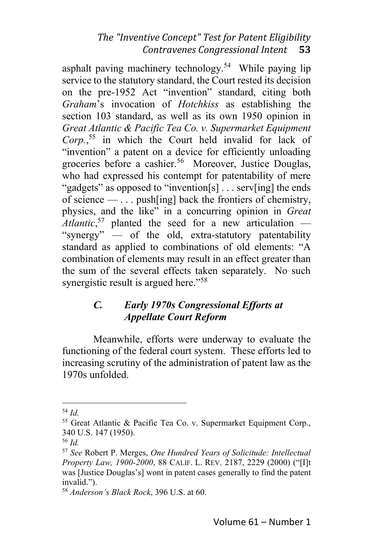asphalt paving machinery technology.<sup>54</sup> While paying lip service to the statutory standard, the Court rested its decision on the pre-1952 Act "invention" standard, citing both *Graham*'s invocation of *Hotchkiss* as establishing the section 103 standard, as well as its own 1950 opinion in *Great Atlantic & Pacific Tea Co. v. Supermarket Equipment Corp.*, <sup>55</sup> in which the Court held invalid for lack of "invention" a patent on a device for efficiently unloading groceries before a cashier. <sup>56</sup> Moreover, Justice Douglas, who had expressed his contempt for patentability of mere "gadgets" as opposed to "invention[s] . . . serv[ing] the ends of science — . . . push[ing] back the frontiers of chemistry, physics, and the like" in a concurring opinion in *Great Atlantic*, <sup>57</sup> planted the seed for a new articulation — "synergy" — of the old, extra-statutory patentability standard as applied to combinations of old elements: "A combination of elements may result in an effect greater than the sum of the several effects taken separately. No such synergistic result is argued here."<sup>58</sup>

# *C. Early 1970s Congressional Efforts at Appellate Court Reform*

Meanwhile, efforts were underway to evaluate the functioning of the federal court system. These efforts led to increasing scrutiny of the administration of patent law as the 1970s unfolded.

<sup>54</sup> *Id.*

<sup>55</sup> Great Atlantic & Pacific Tea Co. v. Supermarket Equipment Corp., 340 U.S. 147 (1950).

<sup>56</sup> *Id.*

<sup>57</sup> *See* Robert P. Merges, *One Hundred Years of Solicitude: Intellectual Property Law, 1900-2000*, 88 CALIF. L. REV. 2187, 2229 (2000) ("[I]t was [Justice Douglas's] wont in patent cases generally to find the patent invalid.").

<sup>58</sup> *Anderson's Black Rock*, 396 U.S. at 60.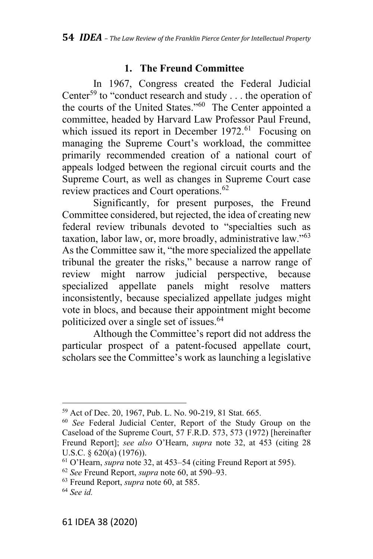# **1. The Freund Committee**

In 1967, Congress created the Federal Judicial Center<sup>59</sup> to "conduct research and study  $\dots$  the operation of the courts of the United States."<sup>60</sup> The Center appointed a committee, headed by Harvard Law Professor Paul Freund, which issued its report in December  $1972<sup>61</sup>$  Focusing on managing the Supreme Court's workload, the committee primarily recommended creation of a national court of appeals lodged between the regional circuit courts and the Supreme Court, as well as changes in Supreme Court case review practices and Court operations.<sup>62</sup>

Significantly, for present purposes, the Freund Committee considered, but rejected, the idea of creating new federal review tribunals devoted to "specialties such as taxation, labor law, or, more broadly, administrative law."<sup>63</sup> As the Committee saw it, "the more specialized the appellate tribunal the greater the risks," because a narrow range of review might narrow judicial perspective, because specialized appellate panels might resolve matters inconsistently, because specialized appellate judges might vote in blocs, and because their appointment might become politicized over a single set of issues.<sup>64</sup>

Although the Committee's report did not address the particular prospect of a patent-focused appellate court, scholars see the Committee's work as launching a legislative

<sup>59</sup> Act of Dec. 20, 1967, Pub. L. No. 90-219, 81 Stat. 665.

<sup>60</sup> *See* Federal Judicial Center, Report of the Study Group on the Caseload of the Supreme Court, 57 F.R.D. 573, 573 (1972) [hereinafter Freund Report]; *see also* O'Hearn, *supra* note 32, at 453 (citing 28 U.S.C. § 620(a) (1976)).

<sup>61</sup> O'Hearn, *supra* note 32, at 453–54 (citing Freund Report at 595).

<sup>62</sup> *See* Freund Report, *supra* note 60, at 590–93.

<sup>63</sup> Freund Report, *supra* note 60, at 585.

<sup>64</sup> *See id.*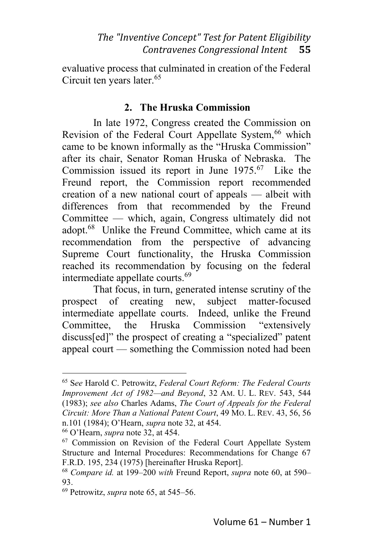evaluative process that culminated in creation of the Federal Circuit ten years later.<sup>65</sup>

# **2. The Hruska Commission**

In late 1972, Congress created the Commission on Revision of the Federal Court Appellate System,<sup>66</sup> which came to be known informally as the "Hruska Commission" after its chair, Senator Roman Hruska of Nebraska. The Commission issued its report in June  $1975.67$  Like the Freund report, the Commission report recommended creation of a new national court of appeals — albeit with differences from that recommended by the Freund Committee — which, again, Congress ultimately did not adopt.<sup>68</sup> Unlike the Freund Committee, which came at its recommendation from the perspective of advancing Supreme Court functionality, the Hruska Commission reached its recommendation by focusing on the federal intermediate appellate courts.<sup>69</sup>

That focus, in turn, generated intense scrutiny of the prospect of creating new, subject matter-focused intermediate appellate courts. Indeed, unlike the Freund Committee, the Hruska Commission "extensively discuss[ed]" the prospect of creating a "specialized" patent appeal court — something the Commission noted had been

<sup>65</sup> S*ee* Harold C. Petrowitz, *Federal Court Reform: The Federal Courts Improvement Act of 1982—and Beyond*, 32 AM. U. L. REV. 543, 544 (1983); *see also* Charles Adams, *The Court of Appeals for the Federal Circuit: More Than a National Patent Court*, 49 MO. L. REV. 43, 56, 56 n.101 (1984); O'Hearn, *supra* note 32, at 454.

<sup>66</sup> O'Hearn, *supra* note 32, at 454.

<sup>&</sup>lt;sup>67</sup> Commission on Revision of the Federal Court Appellate System Structure and Internal Procedures: Recommendations for Change 67 F.R.D. 195, 234 (1975) [hereinafter Hruska Report].

<sup>68</sup> *Compare id.* at 199–200 *with* Freund Report, *supra* note 60, at 590– 93.

<sup>69</sup> Petrowitz, *supra* note 65, at 545–56.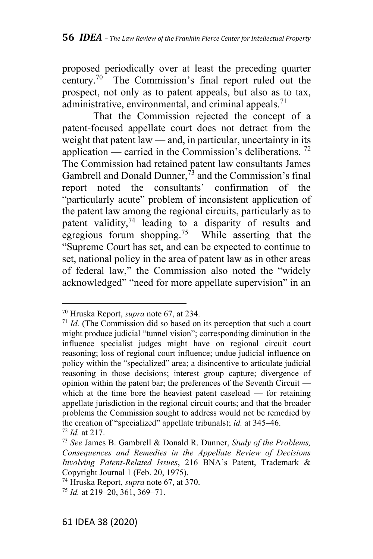proposed periodically over at least the preceding quarter century.<sup>70</sup> The Commission's final report ruled out the prospect, not only as to patent appeals, but also as to tax, administrative, environmental, and criminal appeals.<sup>71</sup>

That the Commission rejected the concept of a patent-focused appellate court does not detract from the weight that patent law — and, in particular, uncertainty in its application — carried in the Commission's deliberations.<sup>72</sup> The Commission had retained patent law consultants James Gambrell and Donald Dunner,  $\bar{7}$  and the Commission's final report noted the consultants' confirmation of the "particularly acute" problem of inconsistent application of the patent law among the regional circuits, particularly as to patent validity,<sup>74</sup> leading to a disparity of results and egregious forum shopping.<sup>75</sup> While asserting that the "Supreme Court has set, and can be expected to continue to set, national policy in the area of patent law as in other areas of federal law," the Commission also noted the "widely acknowledged" "need for more appellate supervision" in an

<sup>70</sup> Hruska Report, *supra* note 67, at 234.

<sup>&</sup>lt;sup>71</sup> *Id.* (The Commission did so based on its perception that such a court might produce judicial "tunnel vision"; corresponding diminution in the influence specialist judges might have on regional circuit court reasoning; loss of regional court influence; undue judicial influence on policy within the "specialized" area; a disincentive to articulate judicial reasoning in those decisions; interest group capture; divergence of opinion within the patent bar; the preferences of the Seventh Circuit which at the time bore the heaviest patent caseload — for retaining appellate jurisdiction in the regional circuit courts; and that the broader problems the Commission sought to address would not be remedied by the creation of "specialized" appellate tribunals); *id.* at 345–46.

<sup>72</sup> *Id.* at 217.

<sup>73</sup> *See* James B. Gambrell & Donald R. Dunner, *Study of the Problems, Consequences and Remedies in the Appellate Review of Decisions Involving Patent-Related Issues*, 216 BNA's Patent, Trademark & Copyright Journal 1 (Feb. 20, 1975).

<sup>74</sup> Hruska Report, *supra* note 67, at 370.

<sup>75</sup> *Id.* at 219–20, 361, 369–71.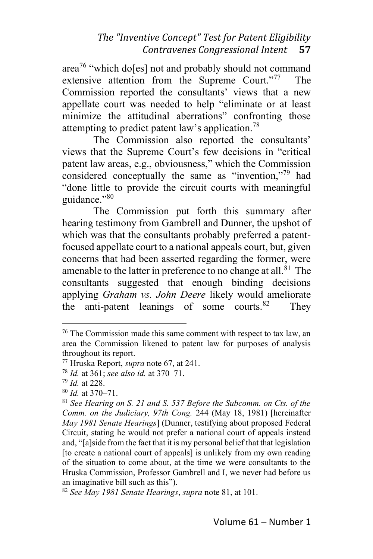area<sup>76</sup> "which do[es] not and probably should not command extensive attention from the Supreme Court."<sup>77</sup> The Commission reported the consultants' views that a new appellate court was needed to help "eliminate or at least minimize the attitudinal aberrations" confronting those attempting to predict patent law's application.<sup>78</sup>

The Commission also reported the consultants' views that the Supreme Court's few decisions in "critical patent law areas, e.g., obviousness," which the Commission considered conceptually the same as "invention,"<sup>79</sup> had "done little to provide the circuit courts with meaningful guidance."<sup>80</sup>

The Commission put forth this summary after hearing testimony from Gambrell and Dunner, the upshot of which was that the consultants probably preferred a patentfocused appellate court to a national appeals court, but, given concerns that had been asserted regarding the former, were amenable to the latter in preference to no change at all.<sup>81</sup> The consultants suggested that enough binding decisions applying *Graham vs. John Deere* likely would ameliorate the anti-patent leanings of some courts. $82$  They

 $76$  The Commission made this same comment with respect to tax law, an area the Commission likened to patent law for purposes of analysis throughout its report.

<sup>77</sup> Hruska Report, *supra* note 67, at 241.

<sup>78</sup> *Id.* at 361; *see also id.* at 370–71.

<sup>79</sup> *Id.* at 228.

<sup>80</sup> *Id.* at 370–71.

<sup>81</sup> *See Hearing on S. 21 and S. 537 Before the Subcomm. on Cts. of the Comm. on the Judiciary, 97th Cong.* 244 (May 18, 1981) [hereinafter *May 1981 Senate Hearings*] (Dunner, testifying about proposed Federal Circuit, stating he would not prefer a national court of appeals instead and, "[a]side from the fact that it is my personal belief that that legislation [to create a national court of appeals] is unlikely from my own reading of the situation to come about, at the time we were consultants to the Hruska Commission, Professor Gambrell and I, we never had before us an imaginative bill such as this").

<sup>82</sup> *See May 1981 Senate Hearings*, *supra* note 81, at 101.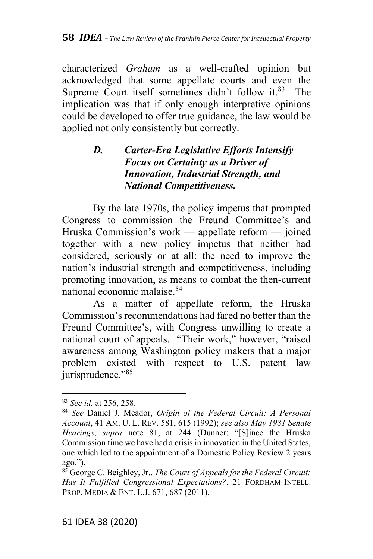characterized *Graham* as a well-crafted opinion but acknowledged that some appellate courts and even the Supreme Court itself sometimes didn't follow it.<sup>83</sup> The implication was that if only enough interpretive opinions could be developed to offer true guidance, the law would be applied not only consistently but correctly.

# *D. Carter-Era Legislative Efforts Intensify Focus on Certainty as a Driver of Innovation, Industrial Strength, and National Competitiveness.*

By the late 1970s, the policy impetus that prompted Congress to commission the Freund Committee's and Hruska Commission's work — appellate reform — joined together with a new policy impetus that neither had considered, seriously or at all: the need to improve the nation's industrial strength and competitiveness, including promoting innovation, as means to combat the then-current national economic malaise.<sup>84</sup>

As a matter of appellate reform, the Hruska Commission's recommendations had fared no better than the Freund Committee's, with Congress unwilling to create a national court of appeals. "Their work," however, "raised awareness among Washington policy makers that a major problem existed with respect to U.S. patent law jurisprudence."<sup>85</sup>

<sup>83</sup> *See id.* at 256, 258.

<sup>84</sup> *See* Daniel J. Meador, *Origin of the Federal Circuit: A Personal Account*, 41 AM. U. L. REV. 581, 615 (1992); *see also May 1981 Senate Hearings*, *supra* note 81, at 244 (Dunner: "[S]ince the Hruska Commission time we have had a crisis in innovation in the United States, one which led to the appointment of a Domestic Policy Review 2 years ago.").

<sup>85</sup> George C. Beighley, Jr., *The Court of Appeals for the Federal Circuit: Has It Fulfilled Congressional Expectations?*, 21 FORDHAM INTELL. PROP. MEDIA & ENT. L.J. 671, 687 (2011).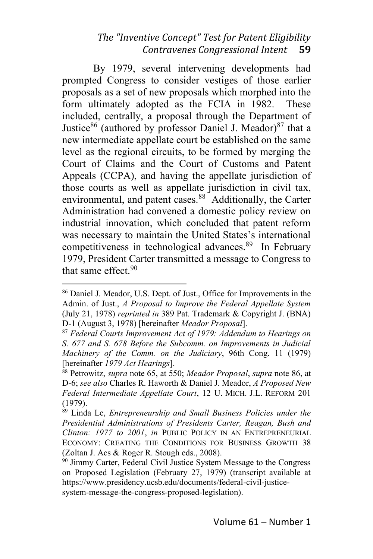By 1979, several intervening developments had prompted Congress to consider vestiges of those earlier proposals as a set of new proposals which morphed into the form ultimately adopted as the FCIA in 1982. These included, centrally, a proposal through the Department of Justice<sup>86</sup> (authored by professor Daniel J. Meador)<sup>87</sup> that a new intermediate appellate court be established on the same level as the regional circuits, to be formed by merging the Court of Claims and the Court of Customs and Patent Appeals (CCPA), and having the appellate jurisdiction of those courts as well as appellate jurisdiction in civil tax, environmental, and patent cases.<sup>88</sup> Additionally, the Carter Administration had convened a domestic policy review on industrial innovation, which concluded that patent reform was necessary to maintain the United States's international competitiveness in technological advances. <sup>89</sup> In February 1979, President Carter transmitted a message to Congress to that same effect.<sup>90</sup>

<sup>86</sup> Daniel J. Meador, U.S. Dept. of Just., Office for Improvements in the Admin. of Just., *A Proposal to Improve the Federal Appellate System* (July 21, 1978) *reprinted in* 389 Pat. Trademark & Copyright J. (BNA) D-1 (August 3, 1978) [hereinafter *Meador Proposal*].

<sup>87</sup> *Federal Courts Improvement Act of 1979: Addendum to Hearings on S. 677 and S. 678 Before the Subcomm. on Improvements in Judicial Machinery of the Comm. on the Judiciary*, 96th Cong. 11 (1979) [hereinafter *1979 Act Hearings*].

<sup>88</sup> Petrowitz, *supra* note 65, at 550; *Meador Proposal*, *supra* note 86, at D-6; *see also* Charles R. Haworth & Daniel J. Meador, *A Proposed New Federal Intermediate Appellate Court*, 12 U. MICH. J.L. REFORM 201 (1979).

<sup>89</sup> Linda Le, *Entrepreneurship and Small Business Policies under the Presidential Administrations of Presidents Carter, Reagan, Bush and Clinton: 1977 to 2001*, *in* PUBLIC POLICY IN AN ENTREPRENEURIAL ECONOMY: CREATING THE CONDITIONS FOR BUSINESS GROWTH 38 (Zoltan J. Acs & Roger R. Stough eds., 2008).

 $90$  Jimmy Carter, Federal Civil Justice System Message to the Congress on Proposed Legislation (February 27, 1979) (transcript available at https://www.presidency.ucsb.edu/documents/federal-civil-justicesystem-message-the-congress-proposed-legislation).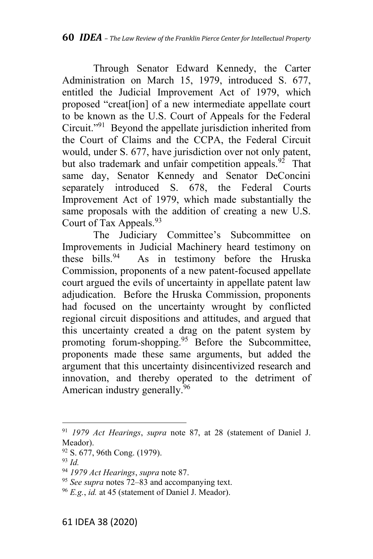Through Senator Edward Kennedy, the Carter Administration on March 15, 1979, introduced S. 677, entitled the Judicial Improvement Act of 1979, which proposed "creat[ion] of a new intermediate appellate court to be known as the U.S. Court of Appeals for the Federal Circuit."<sup>91</sup> Beyond the appellate jurisdiction inherited from the Court of Claims and the CCPA, the Federal Circuit would, under S. 677, have jurisdiction over not only patent, but also trademark and unfair competition appeals.<sup>92</sup> That same day, Senator Kennedy and Senator DeConcini separately introduced S. 678, the Federal Courts Improvement Act of 1979, which made substantially the same proposals with the addition of creating a new U.S. Court of Tax Appeals.<sup>93</sup>

The Judiciary Committee's Subcommittee on Improvements in Judicial Machinery heard testimony on these bills.<sup>94</sup> As in testimony before the Hruska As in testimony before the Hruska Commission, proponents of a new patent-focused appellate court argued the evils of uncertainty in appellate patent law adjudication. Before the Hruska Commission, proponents had focused on the uncertainty wrought by conflicted regional circuit dispositions and attitudes, and argued that this uncertainty created a drag on the patent system by promoting forum-shopping.<sup>95</sup> Before the Subcommittee, proponents made these same arguments, but added the argument that this uncertainty disincentivized research and innovation, and thereby operated to the detriment of American industry generally.<sup>96</sup>

<sup>91</sup> *1979 Act Hearings*, *supra* note 87, at 28 (statement of Daniel J. Meador).

<sup>92</sup> S. 677, 96th Cong. (1979).

<sup>93</sup> *Id.*

<sup>94</sup> *1979 Act Hearings*, *supra* note 87.

<sup>95</sup> *See supra* notes 72–83 and accompanying text.

<sup>96</sup> *E.g.*, *id.* at 45 (statement of Daniel J. Meador).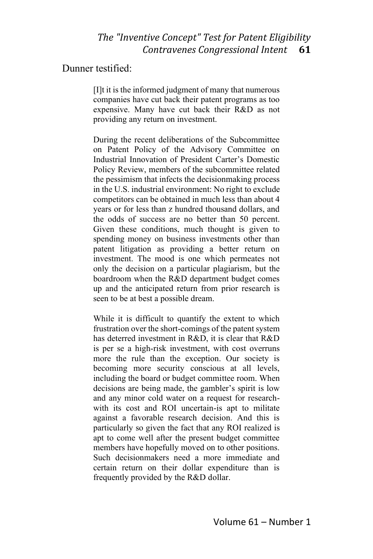#### Dunner testified:

[I]t it is the informed judgment of many that numerous companies have cut back their patent programs as too expensive. Many have cut back their R&D as not providing any return on investment.

During the recent deliberations of the Subcommittee on Patent Policy of the Advisory Committee on Industrial Innovation of President Carter's Domestic Policy Review, members of the subcommittee related the pessimism that infects the decisionmaking process in the U.S. industrial environment: No right to exclude competitors can be obtained in much less than about 4 years or for less than z hundred thousand dollars, and the odds of success are no better than 50 percent. Given these conditions, much thought is given to spending money on business investments other than patent litigation as providing a better return on investment. The mood is one which permeates not only the decision on a particular plagiarism, but the boardroom when the R&D department budget comes up and the anticipated return from prior research is seen to be at best a possible dream.

While it is difficult to quantify the extent to which frustration over the short-comings of the patent system has deterred investment in R&D, it is clear that R&D is per se a high-risk investment, with cost overruns more the rule than the exception. Our society is becoming more security conscious at all levels, including the board or budget committee room. When decisions are being made, the gambler's spirit is low and any minor cold water on a request for researchwith its cost and ROI uncertain-is apt to militate against a favorable research decision. And this is particularly so given the fact that any ROI realized is apt to come well after the present budget committee members have hopefully moved on to other positions. Such decisionmakers need a more immediate and certain return on their dollar expenditure than is frequently provided by the R&D dollar.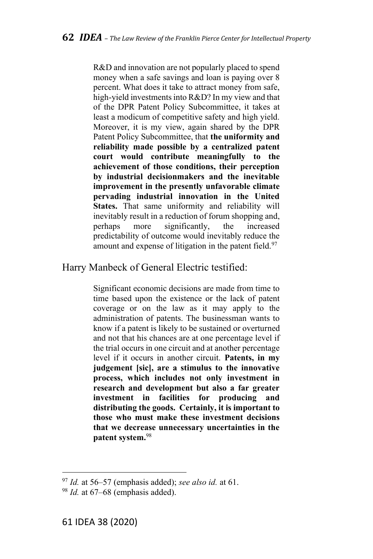R&D and innovation are not popularly placed to spend money when a safe savings and loan is paying over 8 percent. What does it take to attract money from safe, high-yield investments into R&D? In my view and that of the DPR Patent Policy Subcommittee, it takes at least a modicum of competitive safety and high yield. Moreover, it is my view, again shared by the DPR Patent Policy Subcommittee, that **the uniformity and reliability made possible by a centralized patent court would contribute meaningfully to the achievement of those conditions, their perception by industrial decisionmakers and the inevitable improvement in the presently unfavorable climate pervading industrial innovation in the United States.** That same uniformity and reliability will inevitably result in a reduction of forum shopping and, perhaps more significantly, the increased predictability of outcome would inevitably reduce the amount and expense of litigation in the patent field.<sup>97</sup>

#### Harry Manbeck of General Electric testified:

Significant economic decisions are made from time to time based upon the existence or the lack of patent coverage or on the law as it may apply to the administration of patents. The businessman wants to know if a patent is likely to be sustained or overturned and not that his chances are at one percentage level if the trial occurs in one circuit and at another percentage level if it occurs in another circuit. **Patents, in my judgement [sic], are a stimulus to the innovative process, which includes not only investment in research and development but also a far greater investment in facilities for producing and distributing the goods. Certainly, it is important to those who must make these investment decisions that we decrease unnecessary uncertainties in the patent system.** 98

<sup>97</sup> *Id.* at 56–57 (emphasis added); *see also id.* at 61.

<sup>&</sup>lt;sup>98</sup> *Id.* at 67–68 (emphasis added).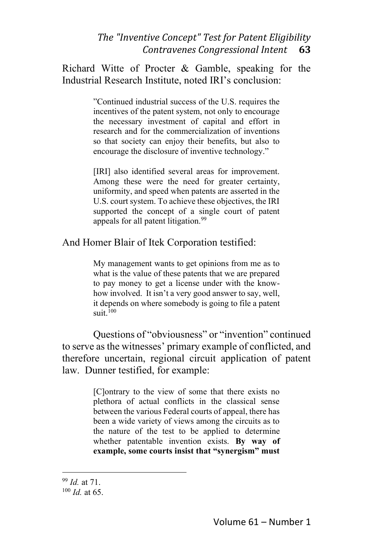Richard Witte of Procter & Gamble, speaking for the Industrial Research Institute, noted IRI's conclusion:

> "Continued industrial success of the U.S. requires the incentives of the patent system, not only to encourage the necessary investment of capital and effort in research and for the commercialization of inventions so that society can enjoy their benefits, but also to encourage the disclosure of inventive technology."

> [IRI] also identified several areas for improvement. Among these were the need for greater certainty, uniformity, and speed when patents are asserted in the U.S. court system. To achieve these objectives, the IRI supported the concept of a single court of patent appeals for all patent litigation.<sup>99</sup>

And Homer Blair of Itek Corporation testified:

My management wants to get opinions from me as to what is the value of these patents that we are prepared to pay money to get a license under with the knowhow involved. It isn't a very good answer to say, well, it depends on where somebody is going to file a patent suit $100$ 

Questions of "obviousness" or "invention" continued to serve as the witnesses' primary example of conflicted, and therefore uncertain, regional circuit application of patent law. Dunner testified, for example:

> [C]ontrary to the view of some that there exists no plethora of actual conflicts in the classical sense between the various Federal courts of appeal, there has been a wide variety of views among the circuits as to the nature of the test to be applied to determine whether patentable invention exists. **By way of example, some courts insist that "synergism" must**

<sup>99</sup> *Id.* at 71.

<sup>100</sup> *Id.* at 65.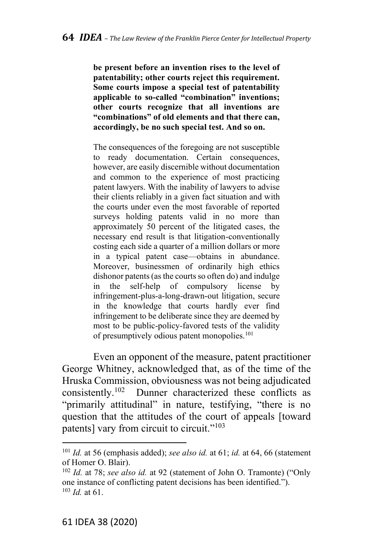**be present before an invention rises to the level of patentability; other courts reject this requirement. Some courts impose a special test of patentability applicable to so-called "combination" inventions; other courts recognize that all inventions are "combinations" of old elements and that there can, accordingly, be no such special test. And so on.**

The consequences of the foregoing are not susceptible to ready documentation. Certain consequences, however, are easily discernible without documentation and common to the experience of most practicing patent lawyers. With the inability of lawyers to advise their clients reliably in a given fact situation and with the courts under even the most favorable of reported surveys holding patents valid in no more than approximately 50 percent of the litigated cases, the necessary end result is that litigation-conventionally costing each side a quarter of a million dollars or more in a typical patent case—obtains in abundance. Moreover, businessmen of ordinarily high ethics dishonor patents (as the courts so often do) and indulge in the self-help of compulsory license by infringement-plus-a-long-drawn-out litigation, secure in the knowledge that courts hardly ever find infringement to be deliberate since they are deemed by most to be public-policy-favored tests of the validity of presumptively odious patent monopolies. 101

Even an opponent of the measure, patent practitioner George Whitney, acknowledged that, as of the time of the Hruska Commission, obviousness was not being adjudicated<br>consistently.<sup>102</sup> Dunner characterized these conflicts as Dunner characterized these conflicts as "primarily attitudinal" in nature, testifying, "there is no question that the attitudes of the court of appeals [toward patents] vary from circuit to circuit."<sup>103</sup>

<sup>101</sup> *Id.* at 56 (emphasis added); *see also id.* at 61; *id.* at 64, 66 (statement of Homer O. Blair).

<sup>102</sup> *Id.* at 78; *see also id.* at 92 (statement of John O. Tramonte) ("Only one instance of conflicting patent decisions has been identified."). <sup>103</sup> *Id.* at 61.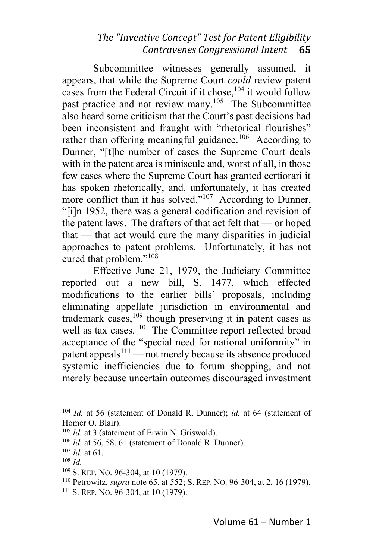Subcommittee witnesses generally assumed, it appears, that while the Supreme Court *could* review patent cases from the Federal Circuit if it chose,<sup>104</sup> it would follow past practice and not review many.<sup>105</sup> The Subcommittee also heard some criticism that the Court's past decisions had been inconsistent and fraught with "rhetorical flourishes" rather than offering meaningful guidance.<sup>106</sup> According to Dunner, "[t]he number of cases the Supreme Court deals with in the patent area is miniscule and, worst of all, in those few cases where the Supreme Court has granted certiorari it has spoken rhetorically, and, unfortunately, it has created more conflict than it has solved."<sup>107</sup> According to Dunner, "[i]n 1952, there was a general codification and revision of the patent laws. The drafters of that act felt that — or hoped that — that act would cure the many disparities in judicial approaches to patent problems. Unfortunately, it has not cured that problem."<sup>108</sup>

Effective June 21, 1979, the Judiciary Committee reported out a new bill, S. 1477, which effected modifications to the earlier bills' proposals, including eliminating appellate jurisdiction in environmental and trademark cases, <sup>109</sup> though preserving it in patent cases as well as tax cases.<sup>110</sup> The Committee report reflected broad acceptance of the "special need for national uniformity" in patent appeals $^{111}$  — not merely because its absence produced systemic inefficiencies due to forum shopping, and not merely because uncertain outcomes discouraged investment

<sup>104</sup> *Id.* at 56 (statement of Donald R. Dunner); *id.* at 64 (statement of Homer O. Blair).

<sup>&</sup>lt;sup>105</sup> *Id.* at 3 (statement of Erwin N. Griswold).

<sup>106</sup> *Id.* at 56, 58, 61 (statement of Donald R. Dunner).

<sup>107</sup> *Id.* at 61.

<sup>108</sup> *Id.*

<sup>109</sup> S. REP. NO. 96-304, at 10 (1979).

<sup>110</sup> Petrowitz, *supra* note 65, at 552; S. REP. NO. 96-304, at 2, 16 (1979).

 $111$  S. REP. No. 96-304, at 10 (1979).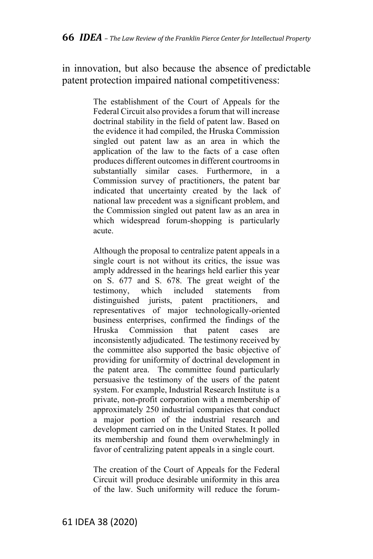in innovation, but also because the absence of predictable patent protection impaired national competitiveness:

> The establishment of the Court of Appeals for the Federal Circuit also provides a forum that will increase doctrinal stability in the field of patent law. Based on the evidence it had compiled, the Hruska Commission singled out patent law as an area in which the application of the law to the facts of a case often produces different outcomes in different courtrooms in substantially similar cases. Furthermore, in a Commission survey of practitioners, the patent bar indicated that uncertainty created by the lack of national law precedent was a significant problem, and the Commission singled out patent law as an area in which widespread forum-shopping is particularly acute.

> Although the proposal to centralize patent appeals in a single court is not without its critics, the issue was amply addressed in the hearings held earlier this year on S. 677 and S. 678. The great weight of the testimony, which included statements from distinguished jurists, patent practitioners, and representatives of major technologically-oriented business enterprises, confirmed the findings of the Hruska Commission that patent cases are inconsistently adjudicated. The testimony received by the committee also supported the basic objective of providing for uniformity of doctrinal development in the patent area. The committee found particularly persuasive the testimony of the users of the patent system. For example, Industrial Research Institute is a private, non-profit corporation with a membership of approximately 250 industrial companies that conduct a major portion of the industrial research and development carried on in the United States. It polled its membership and found them overwhelmingly in favor of centralizing patent appeals in a single court.

The creation of the Court of Appeals for the Federal Circuit will produce desirable uniformity in this area of the law. Such uniformity will reduce the forum-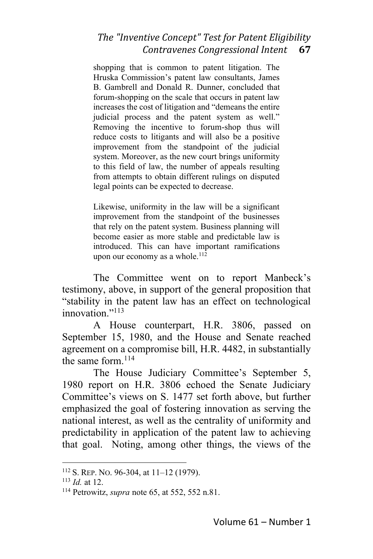shopping that is common to patent litigation. The Hruska Commission's patent law consultants, James B. Gambrell and Donald R. Dunner, concluded that forum-shopping on the scale that occurs in patent law increases the cost of litigation and "demeans the entire judicial process and the patent system as well." Removing the incentive to forum-shop thus will reduce costs to litigants and will also be a positive improvement from the standpoint of the judicial system. Moreover, as the new court brings uniformity to this field of law, the number of appeals resulting from attempts to obtain different rulings on disputed legal points can be expected to decrease.

Likewise, uniformity in the law will be a significant improvement from the standpoint of the businesses that rely on the patent system. Business planning will become easier as more stable and predictable law is introduced. This can have important ramifications upon our economy as a whole. $112$ 

The Committee went on to report Manbeck's testimony, above, in support of the general proposition that "stability in the patent law has an effect on technological innovation."<sup>113</sup>

A House counterpart, H.R. 3806, passed on September 15, 1980, and the House and Senate reached agreement on a compromise bill, H.R. 4482, in substantially the same form. $114$ 

The House Judiciary Committee's September 5, 1980 report on H.R. 3806 echoed the Senate Judiciary Committee's views on S. 1477 set forth above, but further emphasized the goal of fostering innovation as serving the national interest, as well as the centrality of uniformity and predictability in application of the patent law to achieving that goal. Noting, among other things, the views of the

<sup>112</sup> S. REP. NO. 96-304, at 11–12 (1979).

<sup>113</sup> *Id.* at 12.

<sup>114</sup> Petrowitz, *supra* note 65, at 552, 552 n.81.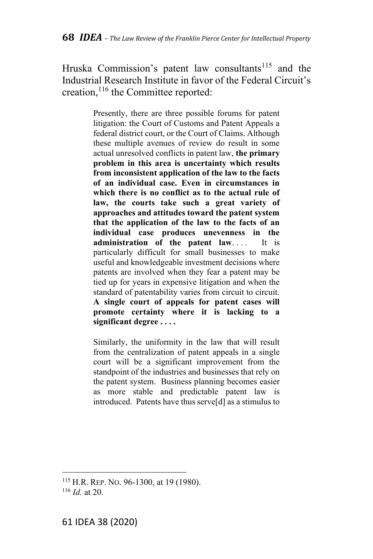Hruska Commission's patent law consultants<sup>115</sup> and the Industrial Research Institute in favor of the Federal Circuit's creation,<sup>116</sup> the Committee reported:

> Presently, there are three possible forums for patent litigation: the Court of Customs and Patent Appeals a federal district court, or the Court of Claims. Although these multiple avenues of review do result in some actual unresolved conflicts in patent law, **the primary problem in this area is uncertainty which results from inconsistent application of the law to the facts of an individual case. Even in circumstances in which there is no conflict as to the actual rule of law, the courts take such a great variety of approaches and attitudes toward the patent system that the application of the law to the facts of an individual case produces unevenness in the administration of the patent law**. . . . It is particularly difficult for small businesses to make useful and knowledgeable investment decisions where patents are involved when they fear a patent may be tied up for years in expensive litigation and when the standard of patentability varies from circuit to circuit. **A single court of appeals for patent cases will promote certainty where it is lacking to a significant degree . . . .**

> Similarly, the uniformity in the law that will result from the centralization of patent appeals in a single court will be a significant improvement from the standpoint of the industries and businesses that rely on the patent system. Business planning becomes easier as more stable and predictable patent law is introduced. Patents have thus serve[d] as a stimulus to

<sup>115</sup> H.R. REP. NO. 96-1300, at 19 (1980). <sup>116</sup> *Id.* at 20.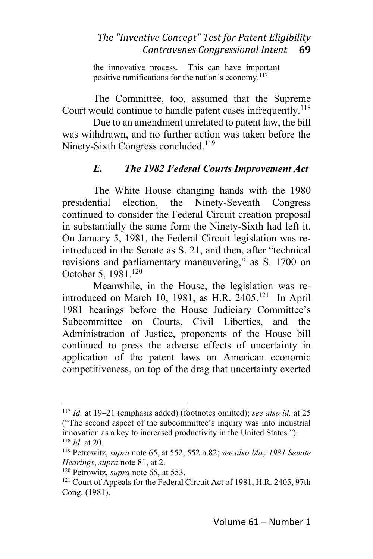the innovative process. This can have important positive ramifications for the nation's economy.<sup>117</sup>

The Committee, too, assumed that the Supreme Court would continue to handle patent cases infrequently.<sup>118</sup>

Due to an amendment unrelated to patent law, the bill was withdrawn, and no further action was taken before the Ninety-Sixth Congress concluded.<sup>119</sup>

# *E. The 1982 Federal Courts Improvement Act*

The White House changing hands with the 1980 presidential election, the Ninety-Seventh Congress continued to consider the Federal Circuit creation proposal in substantially the same form the Ninety-Sixth had left it. On January 5, 1981, the Federal Circuit legislation was reintroduced in the Senate as S. 21, and then, after "technical revisions and parliamentary maneuvering," as S. 1700 on October 5, 1981.<sup>120</sup>

Meanwhile, in the House, the legislation was reintroduced on March 10, 1981, as H.R.  $2405$ .<sup>121</sup> In April 1981 hearings before the House Judiciary Committee's Subcommittee on Courts, Civil Liberties, and the Administration of Justice, proponents of the House bill continued to press the adverse effects of uncertainty in application of the patent laws on American economic competitiveness, on top of the drag that uncertainty exerted

<sup>117</sup> *Id.* at 19–21 (emphasis added) (footnotes omitted); *see also id.* at 25 ("The second aspect of the subcommittee's inquiry was into industrial innovation as a key to increased productivity in the United States."). <sup>118</sup> *Id.* at 20.

<sup>119</sup> Petrowitz, *supra* note 65, at 552, 552 n.82; *see also May 1981 Senate Hearings*, *supra* note 81, at 2.

<sup>120</sup> Petrowitz, *supra* note 65, at 553.

<sup>&</sup>lt;sup>121</sup> Court of Appeals for the Federal Circuit Act of 1981, H.R. 2405, 97th Cong. (1981).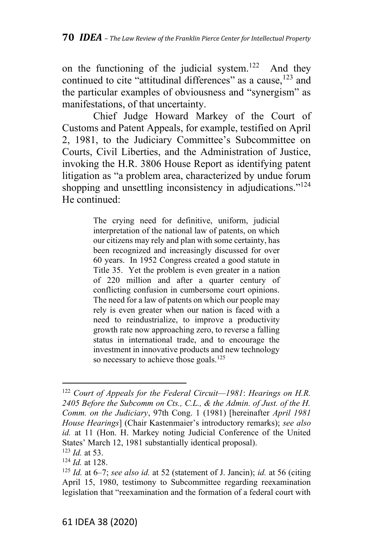on the functioning of the judicial system.<sup>122</sup> And they continued to cite "attitudinal differences" as a cause, <sup>123</sup> and the particular examples of obviousness and "synergism" as manifestations, of that uncertainty.

Chief Judge Howard Markey of the Court of Customs and Patent Appeals, for example, testified on April 2, 1981, to the Judiciary Committee's Subcommittee on Courts, Civil Liberties, and the Administration of Justice, invoking the H.R. 3806 House Report as identifying patent litigation as "a problem area, characterized by undue forum shopping and unsettling inconsistency in adjudications."<sup>124</sup> He continued:

> The crying need for definitive, uniform, judicial interpretation of the national law of patents, on which our citizens may rely and plan with some certainty, has been recognized and increasingly discussed for over 60 years. In 1952 Congress created a good statute in Title 35. Yet the problem is even greater in a nation of 220 million and after a quarter century of conflicting confusion in cumbersome court opinions. The need for a law of patents on which our people may rely is even greater when our nation is faced with a need to reindustrialize, to improve a productivity growth rate now approaching zero, to reverse a falling status in international trade, and to encourage the investment in innovative products and new technology so necessary to achieve those goals.<sup>125</sup>

<sup>122</sup> *Court of Appeals for the Federal Circuit—1981*: *Hearings on H.R. 2405 Before the Subcomm on Cts., C.L., & the Admin. of Just. of the H. Comm. on the Judiciary*, 97th Cong. 1 (1981) [hereinafter *April 1981 House Hearings*] (Chair Kastenmaier's introductory remarks); *see also id.* at 11 (Hon. H. Markey noting Judicial Conference of the United States' March 12, 1981 substantially identical proposal).

<sup>123</sup> *Id.* at 53.

<sup>124</sup> *Id.* at 128.

<sup>125</sup> *Id.* at 6–7; *see also id.* at 52 (statement of J. Jancin); *id.* at 56 (citing April 15, 1980, testimony to Subcommittee regarding reexamination legislation that "reexamination and the formation of a federal court with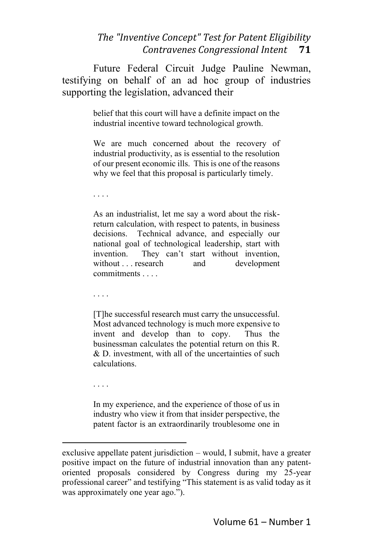Future Federal Circuit Judge Pauline Newman, testifying on behalf of an ad hoc group of industries supporting the legislation, advanced their

> belief that this court will have a definite impact on the industrial incentive toward technological growth.

> We are much concerned about the recovery of industrial productivity, as is essential to the resolution of our present economic ills. This is one of the reasons why we feel that this proposal is particularly timely.

. . . .

As an industrialist, let me say a word about the riskreturn calculation, with respect to patents, in business decisions. Technical advance, and especially our national goal of technological leadership, start with invention. They can't start without invention, without . . . research and development commitments . . . .

. . . .

[T]he successful research must carry the unsuccessful. Most advanced technology is much more expensive to invent and develop than to copy. Thus the businessman calculates the potential return on this R. & D. investment, with all of the uncertainties of such calculations.

. . . .

In my experience, and the experience of those of us in industry who view it from that insider perspective, the patent factor is an extraordinarily troublesome one in

exclusive appellate patent jurisdiction – would, I submit, have a greater positive impact on the future of industrial innovation than any patentoriented proposals considered by Congress during my 25-year professional career" and testifying "This statement is as valid today as it was approximately one year ago.").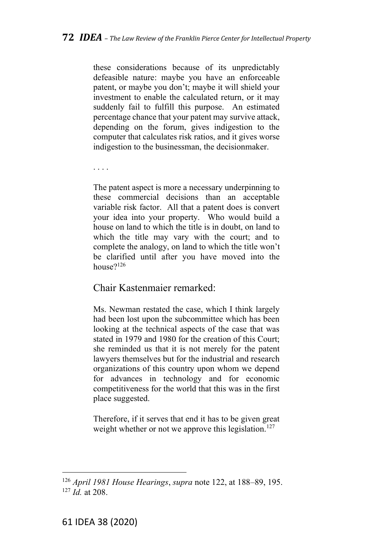these considerations because of its unpredictably defeasible nature: maybe you have an enforceable patent, or maybe you don't; maybe it will shield your investment to enable the calculated return, or it may suddenly fail to fulfill this purpose. An estimated percentage chance that your patent may survive attack, depending on the forum, gives indigestion to the computer that calculates risk ratios, and it gives worse indigestion to the businessman, the decisionmaker.

. . . .

The patent aspect is more a necessary underpinning to these commercial decisions than an acceptable variable risk factor. All that a patent does is convert your idea into your property. Who would build a house on land to which the title is in doubt, on land to which the title may vary with the court; and to complete the analogy, on land to which the title won't be clarified until after you have moved into the house?<sup>126</sup>

#### Chair Kastenmaier remarked:

Ms. Newman restated the case, which I think largely had been lost upon the subcommittee which has been looking at the technical aspects of the case that was stated in 1979 and 1980 for the creation of this Court; she reminded us that it is not merely for the patent lawyers themselves but for the industrial and research organizations of this country upon whom we depend for advances in technology and for economic competitiveness for the world that this was in the first place suggested.

Therefore, if it serves that end it has to be given great weight whether or not we approve this legislation.<sup>127</sup>

<sup>126</sup> *April 1981 House Hearings*, *supra* note 122, at 188–89, 195.  $127 \overrightarrow{Id}$  at 208.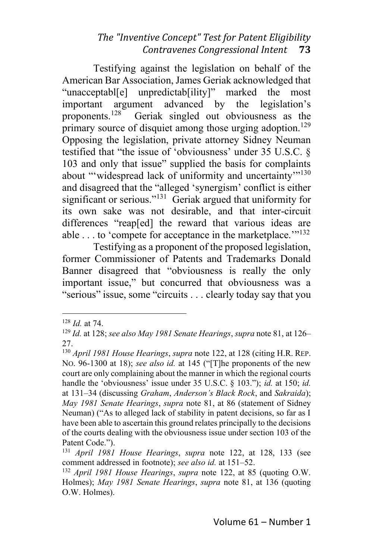Testifying against the legislation on behalf of the American Bar Association, James Geriak acknowledged that "unacceptabl[e] unpredictab[ility]" marked the most important argument advanced by the legislation's<br>proponents.<sup>128</sup> Geriak singled out obviousness as the Geriak singled out obviousness as the primary source of disquiet among those urging adoption.<sup>129</sup> Opposing the legislation, private attorney Sidney Neuman testified that "the issue of 'obviousness' under 35 U.S.C. § 103 and only that issue" supplied the basis for complaints about "'widespread lack of uniformity and uncertainty"<sup>130</sup> and disagreed that the "alleged 'synergism' conflict is either significant or serious."<sup>131</sup> Geriak argued that uniformity for its own sake was not desirable, and that inter-circuit differences "reap[ed] the reward that various ideas are able . . . to 'compete for acceptance in the marketplace."<sup>132</sup>

Testifying as a proponent of the proposed legislation, former Commissioner of Patents and Trademarks Donald Banner disagreed that "obviousness is really the only important issue," but concurred that obviousness was a "serious" issue, some "circuits . . . clearly today say that you

<sup>128</sup> *Id.* at 74.

<sup>129</sup> *Id.* at 128; *see also May 1981 Senate Hearings*, *supra* note 81, at 126– 27.

<sup>130</sup> *April 1981 House Hearings*, *supra* note 122, at 128 (citing H.R. REP. NO. 96-1300 at 18); *see also id.* at 145 ("[T]he proponents of the new court are only complaining about the manner in which the regional courts handle the 'obviousness' issue under 35 U.S.C. § 103."); *id.* at 150; *id.* at 131–34 (discussing *Graham*, *Anderson's Black Rock*, and *Sakraida*); *May 1981 Senate Hearings*, *supra* note 81, at 86 (statement of Sidney Neuman) ("As to alleged lack of stability in patent decisions, so far as I have been able to ascertain this ground relates principally to the decisions of the courts dealing with the obviousness issue under section 103 of the Patent Code.").

<sup>131</sup> *April 1981 House Hearings*, *supra* note 122, at 128, 133 (see comment addressed in footnote); *see also id.* at 151–52.

<sup>132</sup> *April 1981 House Hearings*, *supra* note 122, at 85 (quoting O.W. Holmes); *May 1981 Senate Hearings*, *supra* note 81, at 136 (quoting O.W. Holmes).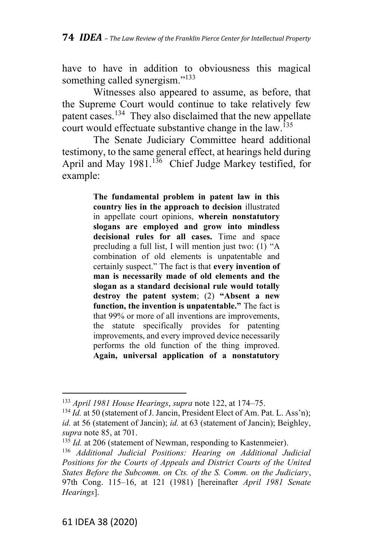have to have in addition to obviousness this magical something called synergism."<sup>133</sup>

Witnesses also appeared to assume, as before, that the Supreme Court would continue to take relatively few patent cases.<sup>134</sup> They also disclaimed that the new appellate court would effectuate substantive change in the law.<sup>135</sup>

The Senate Judiciary Committee heard additional testimony, to the same general effect, at hearings held during April and May 1981.<sup>136</sup> Chief Judge Markey testified, for example:

> **The fundamental problem in patent law in this country lies in the approach to decision** illustrated in appellate court opinions, **wherein nonstatutory slogans are employed and grow into mindless decisional rules for all cases.** Time and space precluding a full list, I will mention just two: (1) "A combination of old elements is unpatentable and certainly suspect." The fact is that **every invention of man is necessarily made of old elements and the slogan as a standard decisional rule would totally destroy the patent system**; (2) **"Absent a new function, the invention is unpatentable."** The fact is that 99% or more of all inventions are improvements, the statute specifically provides for patenting improvements, and every improved device necessarily performs the old function of the thing improved. **Again, universal application of a nonstatutory**

<sup>133</sup> *April 1981 House Hearings*, *supra* note 122, at 174–75.

<sup>&</sup>lt;sup>134</sup> *Id.* at 50 (statement of J. Jancin, President Elect of Am. Pat. L. Ass'n); *id.* at 56 (statement of Jancin); *id.* at 63 (statement of Jancin); Beighley, *supra* note 85, at 701.

<sup>&</sup>lt;sup>135</sup> *Id.* at 206 (statement of Newman, responding to Kastenmeier).

<sup>136</sup> *Additional Judicial Positions: Hearing on Additional Judicial Positions for the Courts of Appeals and District Courts of the United States Before the Subcomm. on Cts. of the S. Comm. on the Judiciary*, 97th Cong. 115–16, at 121 (1981) [hereinafter *April 1981 Senate Hearings*].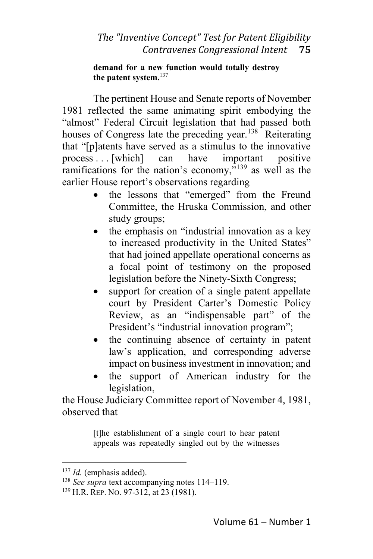#### **demand for a new function would totally destroy the patent system.** 137

The pertinent House and Senate reports of November 1981 reflected the same animating spirit embodying the "almost" Federal Circuit legislation that had passed both houses of Congress late the preceding year.<sup>138</sup> Reiterating that "[p]atents have served as a stimulus to the innovative process . . . [which] can have important positive ramifications for the nation's economy," $139$  as well as the earlier House report's observations regarding

- the lessons that "emerged" from the Freund Committee, the Hruska Commission, and other study groups;
- the emphasis on "industrial innovation as a key to increased productivity in the United States" that had joined appellate operational concerns as a focal point of testimony on the proposed legislation before the Ninety-Sixth Congress;
- support for creation of a single patent appellate court by President Carter's Domestic Policy Review, as an "indispensable part" of the President's "industrial innovation program";
- the continuing absence of certainty in patent law's application, and corresponding adverse impact on business investment in innovation; and
- the support of American industry for the legislation,

the House Judiciary Committee report of November 4, 1981, observed that

> [t]he establishment of a single court to hear patent appeals was repeatedly singled out by the witnesses

<sup>137</sup> *Id.* (emphasis added).

<sup>138</sup> *See supra* text accompanying notes 114–119.

<sup>139</sup> H.R. REP. NO. 97-312, at 23 (1981).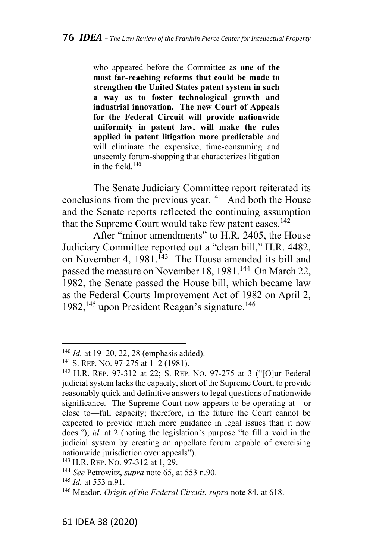who appeared before the Committee as **one of the most far-reaching reforms that could be made to strengthen the United States patent system in such a way as to foster technological growth and industrial innovation. The new Court of Appeals for the Federal Circuit will provide nationwide uniformity in patent law, will make the rules applied in patent litigation more predictable** and will eliminate the expensive, time-consuming and unseemly forum-shopping that characterizes litigation in the field. 140

The Senate Judiciary Committee report reiterated its conclusions from the previous year.<sup>141</sup> And both the House and the Senate reports reflected the continuing assumption that the Supreme Court would take few patent cases.<sup>142</sup>

After "minor amendments" to H.R. 2405, the House Judiciary Committee reported out a "clean bill," H.R. 4482, on November 4,  $1981$ .<sup>143</sup> The House amended its bill and passed the measure on November 18, 1981.<sup>144</sup> On March 22, 1982, the Senate passed the House bill, which became law as the Federal Courts Improvement Act of 1982 on April 2, 1982,<sup>145</sup> upon President Reagan's signature.<sup>146</sup>

<sup>143</sup> H.R. REP. No. 97-312 at 1, 29.

<sup>140</sup> *Id.* at 19–20, 22, 28 (emphasis added).

<sup>141</sup> S. REP. NO. 97-275 at 1–2 (1981).

<sup>142</sup> H.R. REP. 97-312 at 22; S. REP. NO. 97-275 at 3 ("[O]ur Federal judicial system lacks the capacity, short of the Supreme Court, to provide reasonably quick and definitive answers to legal questions of nationwide significance. The Supreme Court now appears to be operating at—or close to—full capacity; therefore, in the future the Court cannot be expected to provide much more guidance in legal issues than it now does."); *id.* at 2 (noting the legislation's purpose "to fill a void in the judicial system by creating an appellate forum capable of exercising nationwide jurisdiction over appeals").

<sup>144</sup> *See* Petrowitz, *supra* note 65, at 553 n.90.

<sup>145</sup> *Id.* at 553 n.91.

<sup>146</sup> Meador, *Origin of the Federal Circuit*, *supra* note 84, at 618.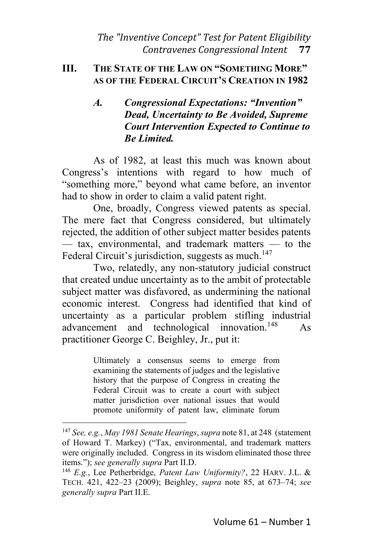### **III. THE STATE OF THE LAW ON "SOMETHING MORE" AS OF THE FEDERAL CIRCUIT'S CREATION IN 1982**

# *A. Congressional Expectations: "Invention" Dead, Uncertainty to Be Avoided, Supreme Court Intervention Expected to Continue to Be Limited.*

As of 1982, at least this much was known about Congress's intentions with regard to how much of "something more," beyond what came before, an inventor had to show in order to claim a valid patent right.

One, broadly, Congress viewed patents as special. The mere fact that Congress considered, but ultimately rejected, the addition of other subject matter besides patents — tax, environmental, and trademark matters — to the Federal Circuit's jurisdiction, suggests as much.<sup>147</sup>

Two, relatedly, any non-statutory judicial construct that created undue uncertainty as to the ambit of protectable subject matter was disfavored, as undermining the national economic interest. Congress had identified that kind of uncertainty as a particular problem stifling industrial advancement and technological innovation.<sup>148</sup> As practitioner George C. Beighley, Jr., put it:

> Ultimately a consensus seems to emerge from examining the statements of judges and the legislative history that the purpose of Congress in creating the Federal Circuit was to create a court with subject matter jurisdiction over national issues that would promote uniformity of patent law, eliminate forum

<sup>147</sup> *See, e.g.*, *May 1981 Senate Hearings*, *supra* note 81, at 248 (statement of Howard T. Markey) ("Tax, environmental, and trademark matters were originally included. Congress in its wisdom eliminated those three items."); *see generally supra* Part II.D.

<sup>148</sup> *E.g.*, Lee Petherbridge, *Patent Law Uniformity?*, 22 HARV. J.L. & TECH. 421, 422–23 (2009); Beighley, *supra* note 85, at 673–74; *see generally supra* Part II.E.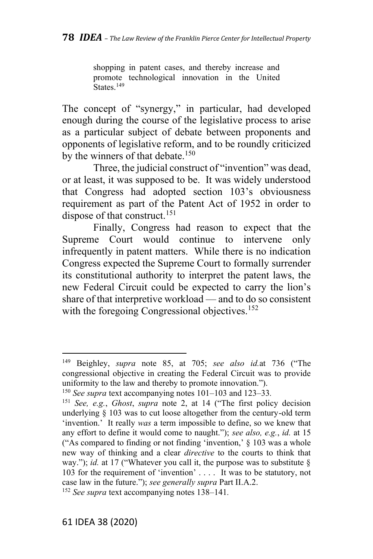shopping in patent cases, and thereby increase and promote technological innovation in the United States.<sup>149</sup>

The concept of "synergy," in particular, had developed enough during the course of the legislative process to arise as a particular subject of debate between proponents and opponents of legislative reform, and to be roundly criticized by the winners of that debate.<sup>150</sup>

Three, the judicial construct of "invention" was dead, or at least, it was supposed to be. It was widely understood that Congress had adopted section 103's obviousness requirement as part of the Patent Act of 1952 in order to dispose of that construct.<sup>151</sup>

Finally, Congress had reason to expect that the Supreme Court would continue to intervene only infrequently in patent matters. While there is no indication Congress expected the Supreme Court to formally surrender its constitutional authority to interpret the patent laws, the new Federal Circuit could be expected to carry the lion's share of that interpretive workload — and to do so consistent with the foregoing Congressional objectives.<sup>152</sup>

<sup>149</sup> Beighley, *supra* note 85, at 705; *see also id.*at 736 ("The congressional objective in creating the Federal Circuit was to provide uniformity to the law and thereby to promote innovation.").

<sup>150</sup> *See supra* text accompanying notes 101–103 and 123–33*.*

<sup>151</sup> *See, e.g.*, *Ghost*, *supra* note 2, at 14 ("The first policy decision underlying § 103 was to cut loose altogether from the century-old term 'invention.' It really *was* a term impossible to define, so we knew that any effort to define it would come to naught."); *see also, e.g.*, *id.* at 15 ("As compared to finding or not finding 'invention,' § 103 was a whole new way of thinking and a clear *directive* to the courts to think that way."); *id.* at 17 ("Whatever you call it, the purpose was to substitute § 103 for the requirement of 'invention' . . . . It was to be statutory, not case law in the future."); *see generally supra* Part II.A.2.

<sup>152</sup> *See supra* text accompanying notes 138–141*.*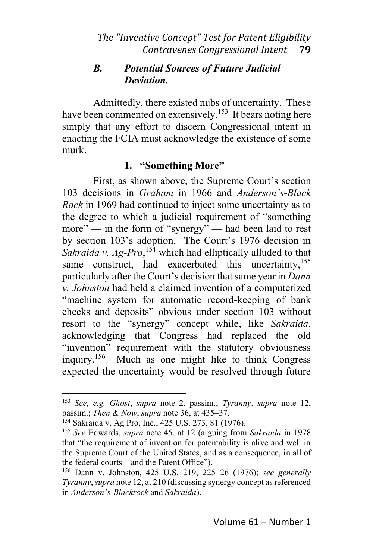# *B. Potential Sources of Future Judicial Deviation.*

Admittedly, there existed nubs of uncertainty. These have been commented on extensively.<sup>153</sup> It bears noting here simply that any effort to discern Congressional intent in enacting the FCIA must acknowledge the existence of some murk.

### **1. "Something More"**

First, as shown above, the Supreme Court's section 103 decisions in *Graham* in 1966 and *Anderson's-Black Rock* in 1969 had continued to inject some uncertainty as to the degree to which a judicial requirement of "something more" — in the form of "synergy" — had been laid to rest by section 103's adoption. The Court's 1976 decision in *Sakraida v. Ag-Pro*, <sup>154</sup> which had elliptically alluded to that same construct, had exacerbated this uncertainty,  $155$ particularly after the Court's decision thatsame year in *Dann v. Johnston* had held a claimed invention of a computerized "machine system for automatic record-keeping of bank checks and deposits" obvious under section 103 without resort to the "synergy" concept while, like *Sakraida*, acknowledging that Congress had replaced the old "invention" requirement with the statutory obviousness inquiry.<sup>156</sup> Much as one might like to think Congress expected the uncertainty would be resolved through future

<sup>153</sup> *See, e.g. Ghost*, *supra* note 2, passim.; *Tyranny*, *supra* note 12, passim.; *Then & Now*, *supra* note 36, at 435–37.

<sup>154</sup> Sakraida v. Ag Pro, Inc., 425 U.S. 273, 81 (1976).

<sup>155</sup> *See* Edwards, *supra* note 45, at 12 (arguing from *Sakraida* in 1978 that "the requirement of invention for patentability is alive and well in the Supreme Court of the United States, and as a consequence, in all of the federal courts—and the Patent Office").

<sup>156</sup> Dann v. Johnston, 425 U.S. 219, 225–26 (1976); *see generally Tyranny*, *supra* note 12, at 210 (discussing synergy concept as referenced in *Anderson's-Blackrock* and *Sakraida*).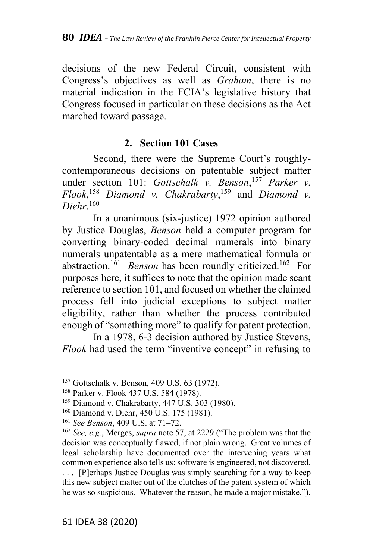decisions of the new Federal Circuit, consistent with Congress's objectives as well as *Graham*, there is no material indication in the FCIA's legislative history that Congress focused in particular on these decisions as the Act marched toward passage.

### **2. Section 101 Cases**

Second, there were the Supreme Court's roughlycontemporaneous decisions on patentable subject matter under section 101: *Gottschalk v. Benson*, <sup>157</sup> *Parker v. Flook*, <sup>158</sup> *Diamond v. Chakrabarty*, <sup>159</sup> and *Diamond v. Diehr*. 160

In a unanimous (six-justice) 1972 opinion authored by Justice Douglas, *Benson* held a computer program for converting binary-coded decimal numerals into binary numerals unpatentable as a mere mathematical formula or abstraction.<sup>161</sup> *Benson* has been roundly criticized. <sup>162</sup> For purposes here, it suffices to note that the opinion made scant reference to section 101, and focused on whether the claimed process fell into judicial exceptions to subject matter eligibility, rather than whether the process contributed enough of "something more" to qualify for patent protection.

In a 1978, 6-3 decision authored by Justice Stevens, *Flook* had used the term "inventive concept" in refusing to

<sup>157</sup> Gottschalk v. Benson*,* 409 U.S. 63 (1972).

<sup>158</sup> Parker v. Flook 437 U.S. 584 (1978).

<sup>159</sup> Diamond v. Chakrabarty, 447 U.S. 303 (1980).

<sup>160</sup> Diamond v. Diehr, 450 U.S. 175 (1981).

<sup>161</sup> *See Benson*, 409 U.S. at 71–72.

<sup>162</sup> *See, e.g.*, Merges, *supra* note 57, at 2229 ("The problem was that the decision was conceptually flawed, if not plain wrong. Great volumes of legal scholarship have documented over the intervening years what common experience also tells us: software is engineered, not discovered. . . . [P]erhaps Justice Douglas was simply searching for a way to keep this new subject matter out of the clutches of the patent system of which he was so suspicious. Whatever the reason, he made a major mistake.").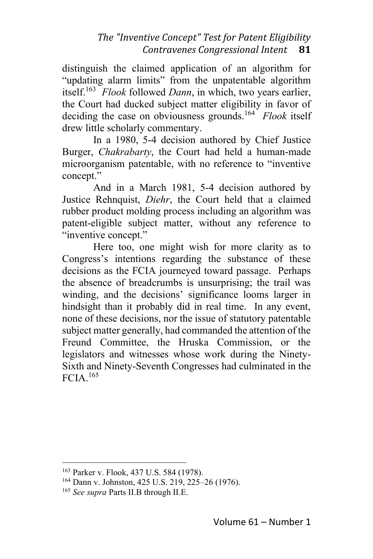distinguish the claimed application of an algorithm for "updating alarm limits" from the unpatentable algorithm itself.<sup>163</sup> *Flook* followed *Dann*, in which, two years earlier, the Court had ducked subject matter eligibility in favor of deciding the case on obviousness grounds.<sup>164</sup> *Flook* itself drew little scholarly commentary.

In a 1980, 5-4 decision authored by Chief Justice Burger, *Chakrabarty*, the Court had held a human-made microorganism patentable, with no reference to "inventive concept."

And in a March 1981, 5-4 decision authored by Justice Rehnquist, *Diehr*, the Court held that a claimed rubber product molding process including an algorithm was patent-eligible subject matter, without any reference to "inventive concept."

Here too, one might wish for more clarity as to Congress's intentions regarding the substance of these decisions as the FCIA journeyed toward passage. Perhaps the absence of breadcrumbs is unsurprising; the trail was winding, and the decisions' significance looms larger in hindsight than it probably did in real time. In any event, none of these decisions, nor the issue of statutory patentable subject matter generally, had commanded the attention of the Freund Committee, the Hruska Commission, or the legislators and witnesses whose work during the Ninety-Sixth and Ninety-Seventh Congresses had culminated in the FCIA. 165

<sup>163</sup> Parker v. Flook, 437 U.S. 584 (1978).

<sup>164</sup> Dann v. Johnston, 425 U.S. 219, 225–26 (1976).

<sup>165</sup> *See supra* Parts II.B through II.E.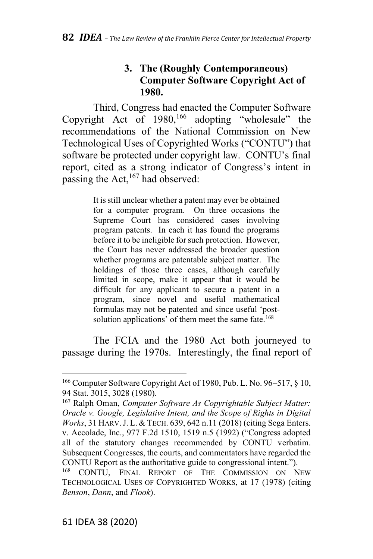# **3. The (Roughly Contemporaneous) Computer Software Copyright Act of 1980.**

Third, Congress had enacted the Computer Software Copyright Act of  $1980$ ,<sup>166</sup> adopting "wholesale" the recommendations of the National Commission on New Technological Uses of Copyrighted Works ("CONTU") that software be protected under copyright law. CONTU's final report, cited as a strong indicator of Congress's intent in passing the Act,  $^{167}$  had observed:

> It is still unclear whether a patent may ever be obtained for a computer program. On three occasions the Supreme Court has considered cases involving program patents. In each it has found the programs before it to be ineligible for such protection. However, the Court has never addressed the broader question whether programs are patentable subject matter. The holdings of those three cases, although carefully limited in scope, make it appear that it would be difficult for any applicant to secure a patent in a program, since novel and useful mathematical formulas may not be patented and since useful 'postsolution applications' of them meet the same fate.<sup>168</sup>

The FCIA and the 1980 Act both journeyed to passage during the 1970s. Interestingly, the final report of

<sup>166</sup> Computer Software Copyright Act of 1980, Pub. L. No. 96–517, § 10, 94 Stat. 3015, 3028 (1980).

<sup>167</sup> Ralph Oman, *Computer Software As Copyrightable Subject Matter: Oracle v. Google, Legislative Intent, and the Scope of Rights in Digital Works*, 31 HARV.J. L. & TECH. 639, 642 n.11 (2018) (citing Sega Enters. v. Accolade, Inc., 977 F.2d 1510, 1519 n.5 (1992) ("Congress adopted all of the statutory changes recommended by CONTU verbatim. Subsequent Congresses, the courts, and commentators have regarded the CONTU Report as the authoritative guide to congressional intent.").

<sup>168</sup> CONTU, FINAL REPORT OF THE COMMISSION ON NEW TECHNOLOGICAL USES OF COPYRIGHTED WORKS, at 17 (1978) (citing *Benson*, *Dann*, and *Flook*).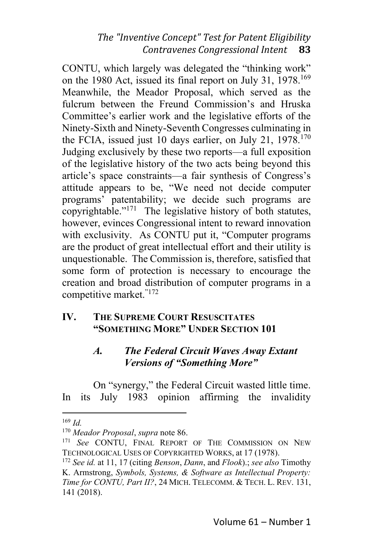CONTU, which largely was delegated the "thinking work" on the 1980 Act, issued its final report on July 31, 1978.<sup>169</sup> Meanwhile, the Meador Proposal, which served as the fulcrum between the Freund Commission's and Hruska Committee's earlier work and the legislative efforts of the Ninety-Sixth and Ninety-Seventh Congresses culminating in the FCIA, issued just 10 days earlier, on July 21,  $1978$ .<sup>170</sup> Judging exclusively by these two reports—a full exposition of the legislative history of the two acts being beyond this article's space constraints—a fair synthesis of Congress's attitude appears to be, "We need not decide computer programs' patentability; we decide such programs are copyrightable."<sup>171</sup> The legislative history of both statutes, however, evinces Congressional intent to reward innovation with exclusivity. As CONTU put it, "Computer programs are the product of great intellectual effort and their utility is unquestionable. The Commission is, therefore, satisfied that some form of protection is necessary to encourage the creation and broad distribution of computer programs in a competitive market."172

### **IV. THE SUPREME COURT RESUSCITATES "SOMETHING MORE" UNDER SECTION 101**

### *A. The Federal Circuit Waves Away Extant Versions of "Something More"*

On "synergy," the Federal Circuit wasted little time. In its July 1983 opinion affirming the invalidity

<sup>169</sup> *Id.*

<sup>170</sup> *Meador Proposal*, *supra* note 86.

<sup>171</sup> *See* CONTU, FINAL REPORT OF THE COMMISSION ON NEW TECHNOLOGICAL USES OF COPYRIGHTED WORKS, at 17 (1978).

<sup>172</sup> *See id.* at 11, 17 (citing *Benson*, *Dann*, and *Flook*).; *see also* Timothy K. Armstrong, *Symbols, Systems, & Software as Intellectual Property: Time for CONTU, Part II?*, 24 MICH. TELECOMM. & TECH. L. REV. 131, 141 (2018).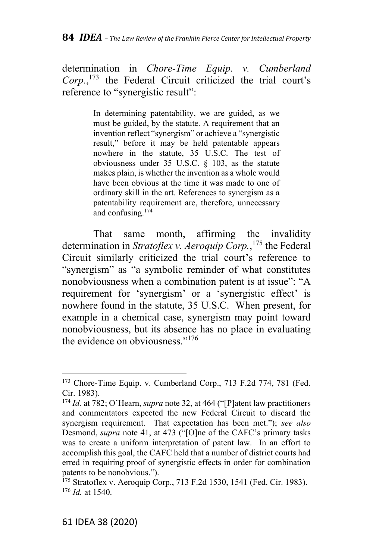determination in *Chore-Time Equip. v. Cumberland Corp.*, <sup>173</sup> the Federal Circuit criticized the trial court's reference to "synergistic result":

> In determining patentability, we are guided, as we must be guided, by the statute. A requirement that an invention reflect "synergism" or achieve a "synergistic result," before it may be held patentable appears nowhere in the statute, 35 U.S.C. The test of obviousness under 35 U.S.C. § 103, as the statute makes plain, is whether the invention as a whole would have been obvious at the time it was made to one of ordinary skill in the art. References to synergism as a patentability requirement are, therefore, unnecessary and confusing.<sup>174</sup>

That same month, affirming the invalidity determination in *Stratoflex v. Aeroquip Corp.*, <sup>175</sup> the Federal Circuit similarly criticized the trial court's reference to "synergism" as "a symbolic reminder of what constitutes nonobviousness when a combination patent is at issue": "A requirement for 'synergism' or a 'synergistic effect' is nowhere found in the statute, 35 U.S.C. When present, for example in a chemical case, synergism may point toward nonobviousness, but its absence has no place in evaluating the evidence on obviousness."<sup>176</sup>

<sup>173</sup> Chore-Time Equip. v. Cumberland Corp., 713 F.2d 774, 781 (Fed. Cir. 1983).

<sup>174</sup> *Id.* at 782; O'Hearn, *supra* note 32, at 464 ("[P]atent law practitioners and commentators expected the new Federal Circuit to discard the synergism requirement. That expectation has been met."); *see also* Desmond, *supra* note 41, at 473 ("[O]ne of the CAFC's primary tasks was to create a uniform interpretation of patent law. In an effort to accomplish this goal, the CAFC held that a number of district courts had erred in requiring proof of synergistic effects in order for combination patents to be nonobvious.").

<sup>175</sup> Stratoflex v. Aeroquip Corp., 713 F.2d 1530, 1541 (Fed. Cir. 1983). <sup>176</sup> *Id.* at 1540.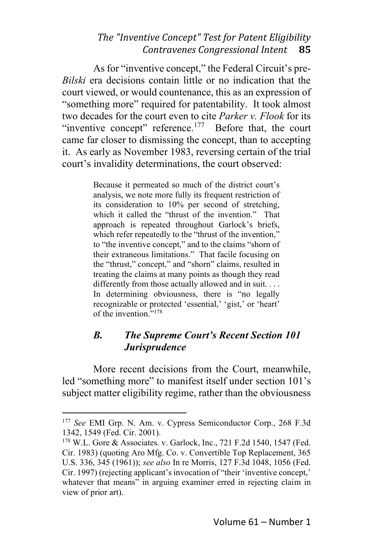As for "inventive concept," the Federal Circuit's pre-*Bilski* era decisions contain little or no indication that the court viewed, or would countenance, this as an expression of "something more" required for patentability. It took almost two decades for the court even to cite *Parker v. Flook* for its "inventive concept" reference. $177$  Before that, the court came far closer to dismissing the concept, than to accepting it. As early as November 1983, reversing certain of the trial court's invalidity determinations, the court observed:

> Because it permeated so much of the district court's analysis, we note more fully its frequent restriction of its consideration to 10% per second of stretching, which it called the "thrust of the invention." That approach is repeated throughout Garlock's briefs, which refer repeatedly to the "thrust of the invention," to "the inventive concept," and to the claims "shorn of their extraneous limitations." That facile focusing on the "thrust," concept," and "shorn" claims, resulted in treating the claims at many points as though they read differently from those actually allowed and in suit. . . . In determining obviousness, there is "no legally recognizable or protected 'essential,' 'gist,' or 'heart' of the invention." 178

### *B. The Supreme Court's Recent Section 101 Jurisprudence*

More recent decisions from the Court, meanwhile, led "something more" to manifest itself under section 101's subject matter eligibility regime, rather than the obviousness

<sup>177</sup> *See* EMI Grp. N. Am. v. Cypress Semiconductor Corp., 268 F.3d 1342, 1549 (Fed. Cir. 2001).

<sup>178</sup> W.L. Gore & Associates. v. Garlock, Inc., 721 F.2d 1540, 1547 (Fed. Cir. 1983) (quoting Aro Mfg. Co. v. Convertible Top Replacement, 365 U.S. 336, 345 (1961)); *see also* In re Morris, 127 F.3d 1048, 1056 (Fed. Cir. 1997) (rejecting applicant's invocation of "their 'inventive concept,' whatever that means" in arguing examiner erred in rejecting claim in view of prior art).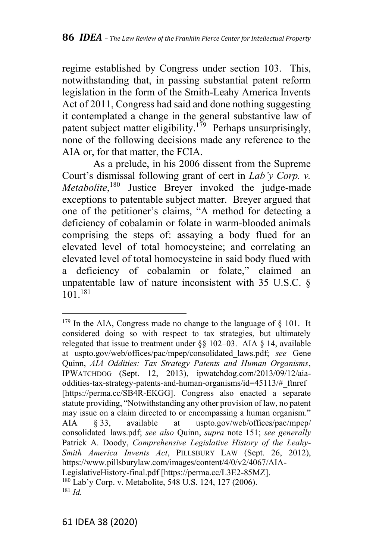regime established by Congress under section 103. This, notwithstanding that, in passing substantial patent reform legislation in the form of the Smith-Leahy America Invents Act of 2011, Congress had said and done nothing suggesting it contemplated a change in the general substantive law of patent subject matter eligibility.<sup>179</sup> Perhaps unsurprisingly, none of the following decisions made any reference to the AIA or, for that matter, the FCIA.

As a prelude, in his 2006 dissent from the Supreme Court's dismissal following grant of cert in *Lab'y Corp. v. Metabolite*, <sup>180</sup> Justice Breyer invoked the judge-made exceptions to patentable subject matter. Breyer argued that one of the petitioner's claims, "A method for detecting a deficiency of cobalamin or folate in warm-blooded animals comprising the steps of: assaying a body flued for an elevated level of total homocysteine; and correlating an elevated level of total homocysteine in said body flued with a deficiency of cobalamin or folate," claimed an unpatentable law of nature inconsistent with 35 U.S.C. § 101.<sup>181</sup>

 $179$  In the AIA, Congress made no change to the language of § 101. It considered doing so with respect to tax strategies, but ultimately relegated that issue to treatment under  $\S$ § 102–03. AIA § 14, available at uspto.gov/web/offices/pac/mpep/consolidated\_laws.pdf; *see* Gene Quinn, *AIA Oddities: Tax Strategy Patents and Human Organisms*, IPWATCHDOG (Sept. 12, 2013), ipwatchdog.com/2013/09/12/aiaoddities-tax-strategy-patents-and-human-organisms/id=45113/#\_ftnref [https://perma.cc/SB4R-EKGG]. Congress also enacted a separate statute providing, "Notwithstanding any other provision of law, no patent may issue on a claim directed to or encompassing a human organism." AIA § 33, available at uspto.gov/web/offices/pac/mpep/ consolidated\_laws.pdf; *see also* Quinn, *supra* note 151; *see generally* Patrick A. Doody, *Comprehensive Legislative History of the Leahy-Smith America Invents Act*, PILLSBURY LAW (Sept. 26, 2012), https://www.pillsburylaw.com/images/content/4/0/v2/4067/AIA-LegislativeHistory-final.pdf [https://perma.cc/L3E2-85MZ]. <sup>180</sup> Lab'y Corp. v. Metabolite, 548 U.S. 124, 127 (2006). <sup>181</sup> *Id.*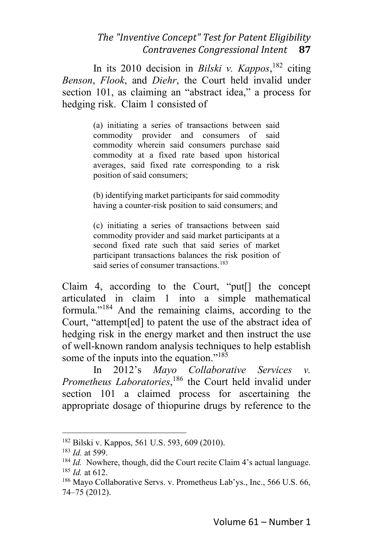In its 2010 decision in *Bilski v. Kappos*, <sup>182</sup> citing *Benson*, *Flook*, and *Diehr*, the Court held invalid under section 101, as claiming an "abstract idea," a process for hedging risk. Claim 1 consisted of

> (a) initiating a series of transactions between said commodity provider and consumers of said commodity wherein said consumers purchase said commodity at a fixed rate based upon historical averages, said fixed rate corresponding to a risk position of said consumers;

> (b) identifying market participants for said commodity having a counter-risk position to said consumers; and

> (c) initiating a series of transactions between said commodity provider and said market participants at a second fixed rate such that said series of market participant transactions balances the risk position of said series of consumer transactions. 183

Claim 4, according to the Court, "put[] the concept articulated in claim 1 into a simple mathematical formula."<sup>184</sup> And the remaining claims, according to the Court, "attempt[ed] to patent the use of the abstract idea of hedging risk in the energy market and then instruct the use of well-known random analysis techniques to help establish some of the inputs into the equation."<sup>185</sup>

In 2012's *Mayo Collaborative Services v. Prometheus Laboratories*, <sup>186</sup> the Court held invalid under section 101 a claimed process for ascertaining the appropriate dosage of thiopurine drugs by reference to the

<sup>182</sup> Bilski v. Kappos, 561 U.S. 593, 609 (2010).

<sup>183</sup> *Id.* at 599.

<sup>184</sup> *Id.* Nowhere, though, did the Court recite Claim 4's actual language. <sup>185</sup> *Id.* at 612.

<sup>186</sup> Mayo Collaborative Servs. v. Prometheus Lab'ys., Inc., 566 U.S. 66, 74–75 (2012).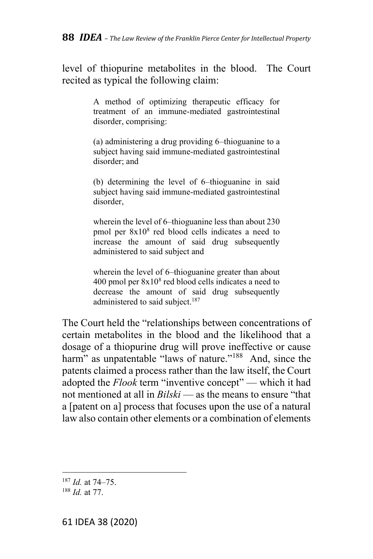level of thiopurine metabolites in the blood. The Court recited as typical the following claim:

> A method of optimizing therapeutic efficacy for treatment of an immune-mediated gastrointestinal disorder, comprising:

> (a) administering a drug providing 6–thioguanine to a subject having said immune-mediated gastrointestinal disorder; and

> (b) determining the level of 6–thioguanine in said subject having said immune-mediated gastrointestinal disorder,

> wherein the level of 6–thioguanine less than about 230 pmol per 8x10<sup>8</sup> red blood cells indicates a need to increase the amount of said drug subsequently administered to said subject and

> wherein the level of 6–thioguanine greater than about 400 pmol per 8x10<sup>8</sup> red blood cells indicates a need to decrease the amount of said drug subsequently administered to said subject.<sup>187</sup>

The Court held the "relationships between concentrations of certain metabolites in the blood and the likelihood that a dosage of a thiopurine drug will prove ineffective or cause harm" as unpatentable "laws of nature."<sup>188</sup> And, since the patents claimed a process rather than the law itself, the Court adopted the *Flook* term "inventive concept" — which it had not mentioned at all in *Bilski* — as the means to ensure "that a [patent on a] process that focuses upon the use of a natural law also contain other elements or a combination of elements

<sup>187</sup> *Id.* at 74–75.

<sup>188</sup> *Id.* at 77.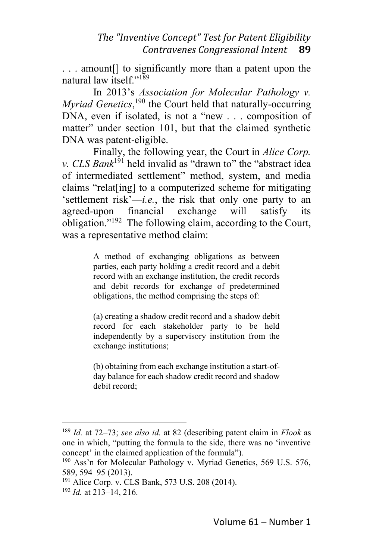. . . amount[] to significantly more than a patent upon the natural law itself." $189$ 

In 2013's *Association for Molecular Pathology v. Myriad Genetics*,<sup>190</sup> the Court held that naturally-occurring DNA, even if isolated, is not a "new . . . composition of matter" under section 101, but that the claimed synthetic DNA was patent-eligible.

Finally, the following year, the Court in *Alice Corp. v. CLS Bank*<sup>191</sup> held invalid as "drawn to" the "abstract idea of intermediated settlement" method, system, and media claims "relat[ing] to a computerized scheme for mitigating 'settlement risk'—*i.e.*, the risk that only one party to an agreed-upon financial exchange will satisfy its obligation."<sup>192</sup> The following claim, according to the Court, was a representative method claim:

> A method of exchanging obligations as between parties, each party holding a credit record and a debit record with an exchange institution, the credit records and debit records for exchange of predetermined obligations, the method comprising the steps of:

> (a) creating a shadow credit record and a shadow debit record for each stakeholder party to be held independently by a supervisory institution from the exchange institutions;

> (b) obtaining from each exchange institution a start-ofday balance for each shadow credit record and shadow debit record;

<sup>189</sup> *Id.* at 72–73; *see also id.* at 82 (describing patent claim in *Flook* as one in which, "putting the formula to the side, there was no 'inventive concept' in the claimed application of the formula").

 $190$  Ass'n for Molecular Pathology v. Myriad Genetics, 569 U.S. 576, 589, 594–95 (2013).

<sup>&</sup>lt;sup>191</sup> Alice Corp. v. CLS Bank, 573 U.S. 208 (2014).

<sup>192</sup> *Id.* at 213–14, 216.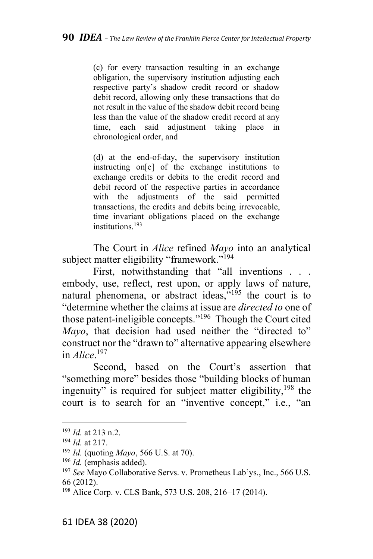(c) for every transaction resulting in an exchange obligation, the supervisory institution adjusting each respective party's shadow credit record or shadow debit record, allowing only these transactions that do not result in the value of the shadow debit record being less than the value of the shadow credit record at any time, each said adjustment taking place in chronological order, and

(d) at the end-of-day, the supervisory institution instructing on[e] of the exchange institutions to exchange credits or debits to the credit record and debit record of the respective parties in accordance with the adjustments of the said permitted transactions, the credits and debits being irrevocable, time invariant obligations placed on the exchange institutions. 193

The Court in *Alice* refined *Mayo* into an analytical subject matter eligibility "framework."<sup>194</sup>

First, notwithstanding that "all inventions . . . embody, use, reflect, rest upon, or apply laws of nature, natural phenomena, or abstract ideas, $\frac{1}{2}$  the court is to "determine whether the claims at issue are *directed to* one of those patent-ineligible concepts."<sup>196</sup> Though the Court cited *Mayo*, that decision had used neither the "directed to" construct nor the "drawn to" alternative appearing elsewhere in *Alice*. 197

Second, based on the Court's assertion that "something more" besides those "building blocks of human ingenuity" is required for subject matter eligibility,<sup>198</sup> the court is to search for an "inventive concept," i.e., "an

<sup>193</sup> *Id.* at 213 n.2.

<sup>194</sup> *Id.* at 217.

<sup>195</sup> *Id.* (quoting *Mayo*, 566 U.S. at 70).

<sup>196</sup> *Id.* (emphasis added).

<sup>197</sup> *See* Mayo Collaborative Servs. v. Prometheus Lab'ys., Inc., 566 U.S. 66 (2012).

<sup>198</sup> Alice Corp. v. CLS Bank, 573 U.S. 208, 216–17 (2014).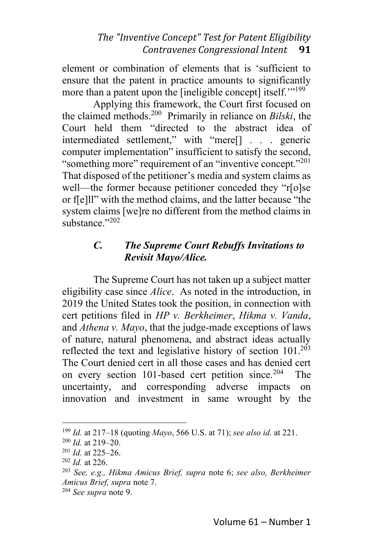element or combination of elements that is 'sufficient to ensure that the patent in practice amounts to significantly more than a patent upon the [ineligible concept] itself.""<sup>199</sup>

Applying this framework, the Court first focused on the claimed methods.<sup>200</sup> Primarily in reliance on *Bilski*, the Court held them "directed to the abstract idea of intermediated settlement," with "mere[] . . . generic computer implementation" insufficient to satisfy the second, "something more" requirement of an "inventive concept."<sup>201</sup> That disposed of the petitioner's media and system claims as well—the former because petitioner conceded they "r[o]se or f[e]ll" with the method claims, and the latter because "the system claims [we]re no different from the method claims in substance."<sup>202</sup>

### *C. The Supreme Court Rebuffs Invitations to Revisit Mayo/Alice.*

The Supreme Court has not taken up a subject matter eligibility case since *Alice*. As noted in the introduction, in 2019 the United States took the position, in connection with cert petitions filed in *HP v. Berkheimer*, *Hikma v. Vanda*, and *Athena v. Mayo*, that the judge-made exceptions of laws of nature, natural phenomena, and abstract ideas actually reflected the text and legislative history of section  $101.^{203}$ The Court denied cert in all those cases and has denied cert on every section 101-based cert petition since. <sup>204</sup> The uncertainty, and corresponding adverse impacts on innovation and investment in same wrought by the

<sup>199</sup> *Id.* at 217–18 (quoting *Mayo*, 566 U.S. at 71); *see also id.* at 221.

<sup>200</sup> *Id.* at 219–20.

<sup>201</sup> *Id.* at 225–26.

<sup>202</sup> *Id.* at 226.

<sup>203</sup> *See, e.g., Hikma Amicus Brief, supra* note 6; *see also, Berkheimer Amicus Brief, supra* note 7.

<sup>204</sup> *See supra* note 9.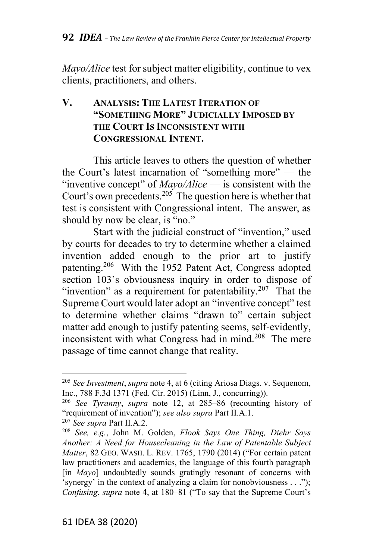*Mayo/Alice* test for subject matter eligibility, continue to vex clients, practitioners, and others.

# **V. ANALYSIS: THE LATEST ITERATION OF "SOMETHING MORE" JUDICIALLY IMPOSED BY THE COURT IS INCONSISTENT WITH CONGRESSIONAL INTENT.**

This article leaves to others the question of whether the Court's latest incarnation of "something more" — the "inventive concept" of *Mayo/Alice* — is consistent with the Court's own precedents.<sup>205</sup> The question here is whether that test is consistent with Congressional intent. The answer, as should by now be clear, is "no."

Start with the judicial construct of "invention," used by courts for decades to try to determine whether a claimed invention added enough to the prior art to justify patenting.<sup>206</sup> With the 1952 Patent Act, Congress adopted section 103's obviousness inquiry in order to dispose of "invention" as a requirement for patentability.<sup>207</sup> That the Supreme Court would later adopt an "inventive concept" test to determine whether claims "drawn to" certain subject matter add enough to justify patenting seems, self-evidently, inconsistent with what Congress had in mind.<sup>208</sup> The mere passage of time cannot change that reality.

<sup>205</sup> *See Investment*, *supra* note 4, at 6 (citing Ariosa Diags. v. Sequenom, Inc., 788 F.3d 1371 (Fed. Cir. 2015) (Linn, J., concurring)).

<sup>206</sup> *See Tyranny*, *supra* note 12, at 285–86 (recounting history of "requirement of invention"); *see also supra* Part II.A.1.

<sup>207</sup> *See supra* Part II.A.2.

<sup>208</sup> *See, e.g.*, John M. Golden, *Flook Says One Thing, Diehr Says Another: A Need for Housecleaning in the Law of Patentable Subject Matter*, 82 GEO. WASH. L. REV. 1765, 1790 (2014) ("For certain patent law practitioners and academics, the language of this fourth paragraph [in *Mayo*] undoubtedly sounds gratingly resonant of concerns with 'synergy' in the context of analyzing a claim for nonobviousness . . ."); *Confusing*, *supra* note 4, at 180–81 ("To say that the Supreme Court's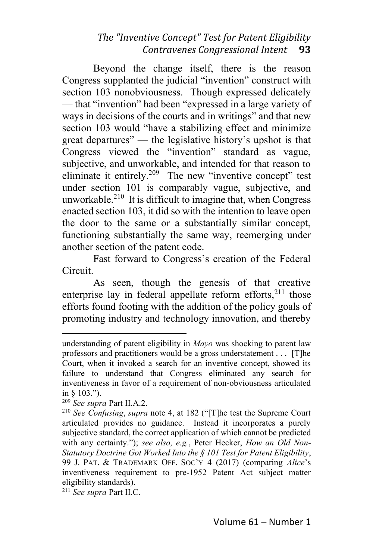Beyond the change itself, there is the reason Congress supplanted the judicial "invention" construct with section 103 nonobviousness. Though expressed delicately — that "invention" had been "expressed in a large variety of ways in decisions of the courts and in writings" and that new section 103 would "have a stabilizing effect and minimize great departures" — the legislative history's upshot is that Congress viewed the "invention" standard as vague, subjective, and unworkable, and intended for that reason to eliminate it entirely.<sup>209</sup> The new "inventive concept" test under section 101 is comparably vague, subjective, and unworkable. $210$  It is difficult to imagine that, when Congress enacted section 103, it did so with the intention to leave open the door to the same or a substantially similar concept, functioning substantially the same way, reemerging under another section of the patent code.

Fast forward to Congress's creation of the Federal Circuit.

As seen, though the genesis of that creative enterprise lay in federal appellate reform efforts,<sup>211</sup> those efforts found footing with the addition of the policy goals of promoting industry and technology innovation, and thereby

<sup>211</sup> *See supra* Part II.C.

understanding of patent eligibility in *Mayo* was shocking to patent law professors and practitioners would be a gross understatement . . . [T]he Court, when it invoked a search for an inventive concept, showed its failure to understand that Congress eliminated any search for inventiveness in favor of a requirement of non-obviousness articulated in § 103.").

<sup>209</sup> *See supra* Part II.A.2.

<sup>210</sup> *See Confusing*, *supra* note 4, at 182 ("[T]he test the Supreme Court articulated provides no guidance. Instead it incorporates a purely subjective standard, the correct application of which cannot be predicted with any certainty."); *see also, e.g.*, Peter Hecker, *How an Old Non-Statutory Doctrine Got Worked Into the § 101 Test for Patent Eligibility*, 99 J. PAT. & TRADEMARK OFF. SOC'Y 4 (2017) (comparing *Alice*'s inventiveness requirement to pre-1952 Patent Act subject matter eligibility standards).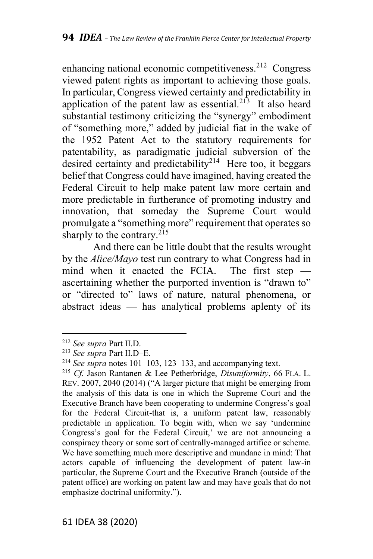enhancing national economic competitiveness.<sup>212</sup> Congress viewed patent rights as important to achieving those goals. In particular, Congress viewed certainty and predictability in application of the patent law as essential.<sup>213</sup> It also heard substantial testimony criticizing the "synergy" embodiment of "something more," added by judicial fiat in the wake of the 1952 Patent Act to the statutory requirements for patentability, as paradigmatic judicial subversion of the desired certainty and predictability<sup>214</sup> Here too, it beggars belief that Congress could have imagined, having created the Federal Circuit to help make patent law more certain and more predictable in furtherance of promoting industry and innovation, that someday the Supreme Court would promulgate a "something more" requirement that operates so sharply to the contrary. $^{215}$ 

And there can be little doubt that the results wrought by the *Alice/Mayo* test run contrary to what Congress had in mind when it enacted the FCIA. The first step ascertaining whether the purported invention is "drawn to" or "directed to" laws of nature, natural phenomena, or abstract ideas — has analytical problems aplenty of its

<sup>212</sup> *See supra* Part II.D.

<sup>213</sup> *See supra* Part II.D–E.

<sup>214</sup> *See supra* notes 101–103, 123–133, and accompanying text.

<sup>215</sup> *Cf.* Jason Rantanen & Lee Petherbridge, *Disuniformity*, 66 FLA. L. REV. 2007, 2040 (2014) ("A larger picture that might be emerging from the analysis of this data is one in which the Supreme Court and the Executive Branch have been cooperating to undermine Congress's goal for the Federal Circuit-that is, a uniform patent law, reasonably predictable in application. To begin with, when we say 'undermine Congress's goal for the Federal Circuit,' we are not announcing a conspiracy theory or some sort of centrally-managed artifice or scheme. We have something much more descriptive and mundane in mind: That actors capable of influencing the development of patent law-in particular, the Supreme Court and the Executive Branch (outside of the patent office) are working on patent law and may have goals that do not emphasize doctrinal uniformity.").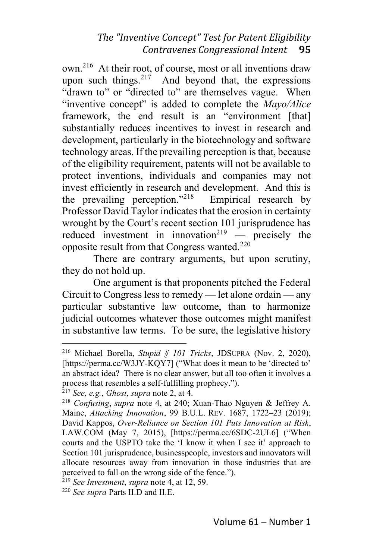own.<sup>216</sup> At their root, of course, most or all inventions draw upon such things.  $2^{17}$  And beyond that, the expressions "drawn to" or "directed to" are themselves vague. When "inventive concept" is added to complete the *Mayo/Alice* framework, the end result is an "environment [that] substantially reduces incentives to invest in research and development, particularly in the biotechnology and software technology areas. If the prevailing perception is that, because of the eligibility requirement, patents will not be available to protect inventions, individuals and companies may not invest efficiently in research and development. And this is the prevailing perception."<sup>218</sup> Empirical research by Professor David Taylor indicates that the erosion in certainty wrought by the Court's recent section 101 jurisprudence has reduced investment in innovation<sup>219</sup> — precisely the opposite result from that Congress wanted. $^{220}$ 

There are contrary arguments, but upon scrutiny, they do not hold up.

One argument is that proponents pitched the Federal Circuit to Congress less to remedy — let alone ordain — any particular substantive law outcome, than to harmonize judicial outcomes whatever those outcomes might manifest in substantive law terms. To be sure, the legislative history

<sup>216</sup> Michael Borella, *Stupid § 101 Tricks*, JDSUPRA (Nov. 2, 2020), [https://perma.cc/W3JY-KQY7] ("What does it mean to be 'directed to' an abstract idea? There is no clear answer, but all too often it involves a process that resembles a self-fulfilling prophecy.").

<sup>217</sup> *See, e.g.*, *Ghost*, *supra* note 2, at 4.

<sup>218</sup> *Confusing*, *supra* note 4, at 240; Xuan-Thao Nguyen & Jeffrey A. Maine, *Attacking Innovation*, 99 B.U.L. REV. 1687, 1722–23 (2019); David Kappos, *Over-Reliance on Section 101 Puts Innovation at Risk*, LAW.COM (May 7, 2015), [https://perma.cc/6SDC-2UL6] ("When courts and the USPTO take the 'I know it when I see it' approach to Section 101 jurisprudence, businesspeople, investors and innovators will allocate resources away from innovation in those industries that are perceived to fall on the wrong side of the fence.").

<sup>219</sup> *See Investment*, *supra* note 4, at 12, 59.

<sup>220</sup> *See supra* Parts II.D and II.E.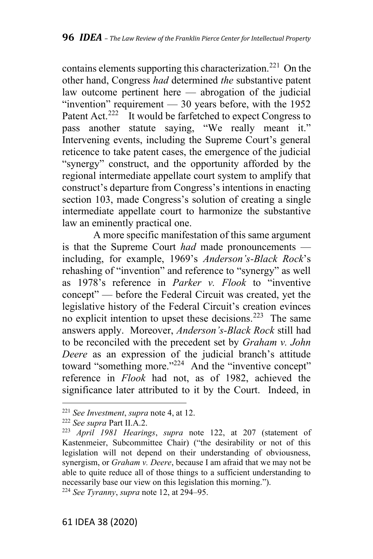contains elements supporting this characterization.<sup>221</sup> On the other hand, Congress *had* determined *the* substantive patent law outcome pertinent here — abrogation of the judicial "invention" requirement  $-30$  years before, with the 1952 Patent Act.<sup>222</sup> It would be farfetched to expect Congress to pass another statute saying, "We really meant it." Intervening events, including the Supreme Court's general reticence to take patent cases, the emergence of the judicial "synergy" construct, and the opportunity afforded by the regional intermediate appellate court system to amplify that construct's departure from Congress's intentions in enacting section 103, made Congress's solution of creating a single intermediate appellate court to harmonize the substantive law an eminently practical one.

A more specific manifestation of this same argument is that the Supreme Court *had* made pronouncements including, for example, 1969's *Anderson's-Black Rock*'s rehashing of "invention" and reference to "synergy" as well as 1978's reference in *Parker v. Flook* to "inventive concept" — before the Federal Circuit was created, yet the legislative history of the Federal Circuit's creation evinces no explicit intention to upset these decisions.<sup>223</sup> The same answers apply. Moreover, *Anderson's-Black Rock* still had to be reconciled with the precedent set by *Graham v. John Deere* as an expression of the judicial branch's attitude toward "something more."<sup>224</sup> And the "inventive concept" reference in *Flook* had not, as of 1982, achieved the significance later attributed to it by the Court. Indeed, in

<sup>224</sup> *See Tyranny*, *supra* note 12, at 294–95.

<sup>221</sup> *See Investment*, *supra* note 4, at 12.

<sup>222</sup> *See supra* Part II.A.2.

<sup>223</sup> *April 1981 Hearings*, *supra* note 122, at 207 (statement of Kastenmeier, Subcommittee Chair) ("the desirability or not of this legislation will not depend on their understanding of obviousness, synergism, or *Graham v. Deere*, because I am afraid that we may not be able to quite reduce all of those things to a sufficient understanding to necessarily base our view on this legislation this morning.").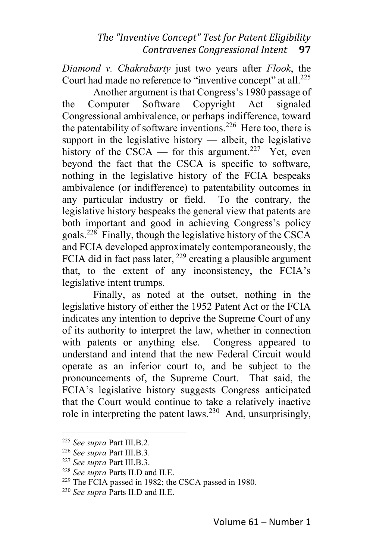*Diamond v. Chakrabarty* just two years after *Flook*, the Court had made no reference to "inventive concept" at all.<sup>225</sup>

Another argument is that Congress's 1980 passage of the Computer Software Copyright Act signaled Congressional ambivalence, or perhaps indifference, toward the patentability of software inventions.<sup>226</sup> Here too, there is support in the legislative history  $-$  albeit, the legislative history of the CSCA — for this argument.<sup>227</sup> Yet, even beyond the fact that the CSCA is specific to software, nothing in the legislative history of the FCIA bespeaks ambivalence (or indifference) to patentability outcomes in any particular industry or field. To the contrary, the legislative history bespeaks the general view that patents are both important and good in achieving Congress's policy goals.<sup>228</sup> Finally, though the legislative history of the CSCA and FCIA developed approximately contemporaneously, the FCIA did in fact pass later,  $229$  creating a plausible argument that, to the extent of any inconsistency, the FCIA's legislative intent trumps.

Finally, as noted at the outset, nothing in the legislative history of either the 1952 Patent Act or the FCIA indicates any intention to deprive the Supreme Court of any of its authority to interpret the law, whether in connection with patents or anything else. Congress appeared to understand and intend that the new Federal Circuit would operate as an inferior court to, and be subject to the pronouncements of, the Supreme Court. That said, the FCIA's legislative history suggests Congress anticipated that the Court would continue to take a relatively inactive role in interpreting the patent laws.<sup>230</sup> And, unsurprisingly,

<sup>225</sup> *See supra* Part III.B.2.

<sup>226</sup> *See supra* Part III.B.3.

<sup>227</sup> *See supra* Part III.B.3.

<sup>228</sup> *See supra* Parts II.D and II.E.

<sup>229</sup> The FCIA passed in 1982; the CSCA passed in 1980.

<sup>230</sup> *See supra* Parts II.D and II.E.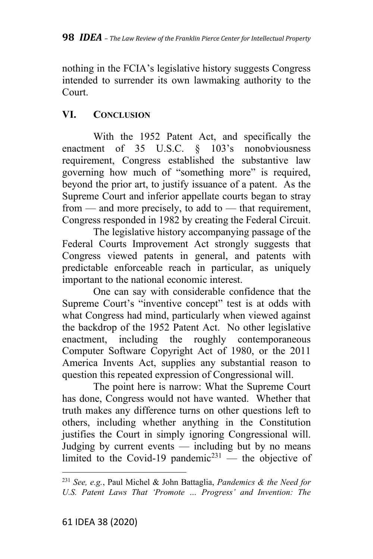nothing in the FCIA's legislative history suggests Congress intended to surrender its own lawmaking authority to the Court.

# **VI. CONCLUSION**

With the 1952 Patent Act, and specifically the enactment of 35 U.S.C. § 103's nonobviousness requirement, Congress established the substantive law governing how much of "something more" is required, beyond the prior art, to justify issuance of a patent. As the Supreme Court and inferior appellate courts began to stray from — and more precisely, to add to — that requirement, Congress responded in 1982 by creating the Federal Circuit.

The legislative history accompanying passage of the Federal Courts Improvement Act strongly suggests that Congress viewed patents in general, and patents with predictable enforceable reach in particular, as uniquely important to the national economic interest.

One can say with considerable confidence that the Supreme Court's "inventive concept" test is at odds with what Congress had mind, particularly when viewed against the backdrop of the 1952 Patent Act. No other legislative enactment, including the roughly contemporaneous Computer Software Copyright Act of 1980, or the 2011 America Invents Act, supplies any substantial reason to question this repeated expression of Congressional will.

The point here is narrow: What the Supreme Court has done, Congress would not have wanted. Whether that truth makes any difference turns on other questions left to others, including whether anything in the Constitution justifies the Court in simply ignoring Congressional will. Judging by current events — including but by no means limited to the Covid-19 pandemic<sup>231</sup> — the objective of

<sup>231</sup> *See, e.g.*, Paul Michel & John Battaglia, *Pandemics & the Need for U.S. Patent Laws That 'Promote … Progress' and Invention: The*